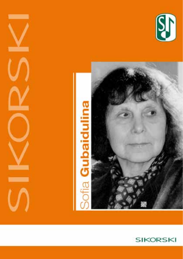



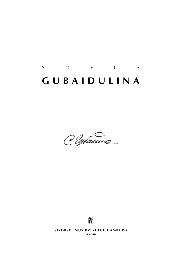# S O F I A **g u b a i d u l i n a**

C. Warne



**SIKORSKI MUSIKVERLAGE HAMBURG sik 4/5611**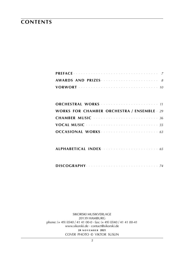### **contents**

| <b>WORKS FOR CHAMBER ORCHESTRA / ENSEMBLE 29</b>        |
|---------------------------------------------------------|
| <b>CHAMBER MUSIC <i>CHAMBER MUSIC CHAMBER MUSIC</i></b> |
| VOCAL MUSIC <i>with the contract of the SS</i>          |
|                                                         |

|--|--|--|--|--|--|--|--|--|--|--|--|--|--|--|--|--|--|

| DISCOGRAPHY |  |  |  |  |  |  |  |  |  |  |  |  |  |  |  |  |  |  |  |  |  |  |  |  |  |  |  |  |
|-------------|--|--|--|--|--|--|--|--|--|--|--|--|--|--|--|--|--|--|--|--|--|--|--|--|--|--|--|--|
|-------------|--|--|--|--|--|--|--|--|--|--|--|--|--|--|--|--|--|--|--|--|--|--|--|--|--|--|--|--|

sikorski Musikverlage 20139 hamburg phone: (+ 49) (0)40 / 41 41 00-0 · fax: (+ 49) (0)40 / 41 41 00-41 www.sikorski.de · contact@sikorski.de **24 n o v e m b e r 2021** cover photo © viktor suslin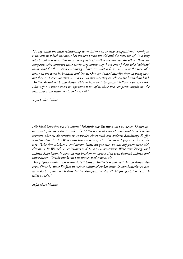*"To my mind the ideal relationship to tradition and to new compositional techniques is the one in which the artist has mastered both the old and the new, though in a way*  which makes it seem that he is taking note of neither the one nor the other. There are *composers who construct their works very consciously; I am one of those who 'cultivate' them. And for this reason everything I have assimilated forms as it were the roots of a tree, and the work its branches and leaves. One can indeed describe them as being new, but they are leaves nonetheless, and seen in this way they are always traditional and old. Dmitri Shostakovich and Anton Webern have had the greatest influence on my work. Although my music bears no apparent traces of it, these two composers taught me the most important lesson of all: to be myself."*

*Sofia Gubaidulina*

*"Als Ideal betrachte ich ein solches Verhältnis zur Tradition und zu neuen Kompositionsmitteln, bei dem der Künstler alle Mittel – sowohl neue als auch traditionelle – beherrscht, aber so, als schenke er weder den einen noch den anderen Beachtung. Es gibt Komponisten, die ihre Werke sehr bewusst bauen, ich zähle mich dagegen zu denen, die ihre Werke eher ,züchten'. Und darum bildet die gesamte von mir aufgenommene Welt gleichsam die Wurzeln eines Baumes und das daraus gewachsene Werk seine Zweige und Blätter. Man kann sie zwar als neu bezeichnen, aber es sind eben dennoch Blätter, und unter diesem Gesichtspunkt sind sie immer traditionell, alt.*

*Den größten Einfluss auf meine Arbeit hatten Dmitri Schostakowitsch und Anton Webern. Obwohl dieser Einfluss in meiner Musik scheinbar keine Spuren hinterlassen hat, ist es doch so, dass mich diese beiden Komponisten das Wichtigste gelehrt haben: ich selbst zu sein."*

*Sofia Gubaidulina*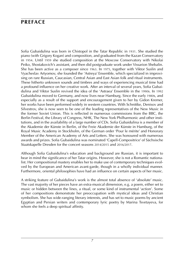### **preface**

Sofia Gubaidulina was born in Chistopol in the Tatar Republic in 1931. She studied the piano (with Grigory Kogan) and composition, and graduated from the Kazan Conservatory in 1954. Until 1959 she studied composition at the Moscow Conservatory with Nikolai Peiko, Shostakovich's assistant, and then did postgraduate work under Vissarion Shebalin. She has been active as a composer since 1963. In 1975, together with Viktor Suslin and Vyacheslav Artyomov, she founded the 'Astreya' Ensemble, which specialized in improvising on rare Russian, Caucasian, Central Asian and East Asian folk and ritual instruments. These hitherto unknown sounds and timbres and ways of experiencing musical time had a profound influence on her creative work. After an interval of several years, Sofia Gubaidulina and Viktor Suslin revived the idea of the 'Astraea' Ensemble in the 1990s. In 1992 Gubaidulina moved to Germany, and now lives near Hamburg. Since the early 1980s, and especially as a result of the support and encouragement given to her by Gidon Kremer, her works have been performed widely in western countries. With Schnittke, Denisov and Silvestrov, she is now seen to be one of the leading representatives of the New Music in the former Soviet Union. This is reflected in numerous commissions from the BBC, the Berlin Festival, the Library of Congress, NHK, The New York Philharmonic and other institutions, and in the availability of a large number of CDs. Sofia Gubaidulina is a member of the Akademie der Künste in Berlin, of the Freie Akademie der Künste in Hamburg, of the Royal Music Academy in Stockholm, of the German order 'Pour le mérite' and Honorary Member of the American Academy of Arts and Letters. She was honoured with numerous awards and prizes. Sofia Gubaidulina was nominated 'Capell-Compositrice' of Sächsische Staatskapelle Dresden for the concert seasons 2014/2015 and 2016/2017.

Although Sofia Gubaidulina's education and background are Russian, it is important to bear in mind the significance of her Tatar origins. However, she is not a Romantic nationalist. Her compositional mastery enables her to make use of contemporary techniques evolved by the European and American avant-garde, though in a wholly individual manner. Furthermore, oriental philosophies have had an influence on certain aspects of her music.

A striking feature of Gubaidulina's work is the almost total absence of 'absolute' music. The vast majority of her pieces have an extra-musical dimension, e.g. a poem, either set to music or hidden between the lines, a ritual, or some kind of instrumental 'action'. Some of her compositions demonstrate her preoccupation with mystical ideas and Christian symbolism. She has wide-ranging literary interests, and has set to music poems by ancient Egyptian and Persian writers and contemporary lyric poetry by Marina Tsvetayeva, for whom she feels a deep spiritual affinity.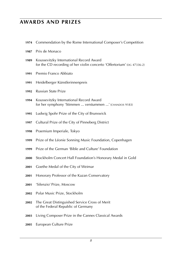### **awards and prizes**

- Commendation by the Rome International Composer's Competition
- Prix de Monaco
- Koussevitzky International Record Award for the CD recording of her violin concerto 'Offertorium' (DG 47336-2)
- Premio Franco Abbiato
- Heidelberger Künstlerinnenpreis
- Russian State Prize
- Koussevitzky International Record Award for her symphony 'Stimmen ... verstummen ...' (CHANDOS 9183)
- Ludwig Spohr Prize of the City of Brunswick
- Cultural Prize of the City of Pinneberg District
- Praemium Imperiale, Tokyo
- Prize of the Léonie Sonning Music Foundation, Copenhagen
- Prize of the German 'Bible and Culture' Foundation
- Stockholm Concert Hall Foundation's Honorary Medal in Gold
- Goethe Medal of the City of Weimar
- Honorary Professor of the Kazan Conservatory
- 'Silenzio' Prize, Moscow
- Polar Music Prize, Stockholm
- The Great Distinguished Service Cross of Merit of the Federal Republic of Germany
- Living Composer Prize in the Cannes Classical Awards
- European Culture Prize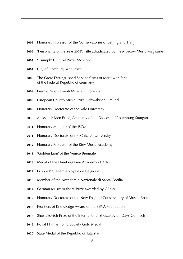- Honorary Professor of the Conservatories of Beijing and Tianjin
- 'Personality of the Year 2006'. Title adjudicated by the Moscow Music Magazine
- 'Triumph' Cultural Prize, Moscow
- City of Hamburg Bach Prize
- The Great Distinguished Service Cross of Merit with Star of the Federal Republic of Germany
- Premio Nuovi Eventi Musicali, Florence
- European Church Music Prize, Schwäbisch Gmünd
- Honorary Doctorate of the Yale University
- Aleksandr Men Prize, Academy of the Diocese of Rottenburg-Stuttgart
- Honorary Member of the ISCM
- Honorary Doctorate of the Chicago University
- Honorary Professor of the Kiev Music Academy
- 'Golden Lion' of the Venice Biennale
- Medal of the Hamburg Free Academy of Arts
- Prix de l'Académie Royale de Belgique
- Member of the Accademia Nazionale di Santa Cecilia
- German Music Authors' Prize awarded by GEMA
- Honorary Doctorate of the New England Conservatory of Music, Boston
- Frontiers of Knowledge Award of the BBVA Foundation
- Shostakovich Prize of the International Shostakovich Days Gohrisch
- Royal Philharmonic Society Gold Medal
- State Medal of the Republic of Tatarstan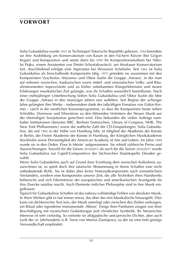### **vorwort**

Sofia Gubaidulina wurde 1931 in Tschistopol (Tatarische Republik) geboren. 1954 beendete sie ihre Ausbildung am Konservatorium von Kasan in den Fächern Klavier (bei Grigori Kogan) und Komposition und setzte dann bis 1959 ihr Kompositionsstudium bei Nikolai Pejko, einem Assistenten von Dmitri Schostakowitsch, am Moskauer Konservatorium fort. Anschließend erfolgte eine Aspirantur bei Wissarion Schebalin. Seit 1963 ist Sofia Gubaidulina als freischaffende Komponistin tätig. 1975 gründete sie zusammen mit den Komponisten Vyacheslav Artyomov und Viktor Suslin die Gruppe ,Astraea', in der man auf seltenen russischen, kaukasischen sowie mittel- und ostasiatischen Volks- und Ritualinstrumenten improvisierte und zu bisher unbekannten Klangerlebnissen und neuen Erfahrungen musikalischer Zeit gelangte, was ihr Schaffen wesentlich beeinflusste. Nach einer mehrjährigen Unterbrechung ließen Sofia Gubaidulina und Viktor Suslin die Idee der Gruppe ,Astraea in den neunziger Jahren neu aufleben. Seit Beginn der achtziger Jahre gelangten ihre Werke – insbesondere dank des tatkräftigen Einsatzes von Gidon Kremer – rasch in die westlichen Konzertprogramme, so dass die Komponistin heute neben Schnittke, Denissow und Silwestrow zu den führenden Vertretern der Neuen Musik aus der ehemaligen Sowjetunion gerechnet wird. Dies bekunden die vielen Aufträge namhafter Institutionen (darunter BBC, Berliner Festwochen, Library of Congress, NHK, The New York Philharmonic) sowie die stattliche Zahl der CD-Einspielungen. Sofia Gubaidulina, die seit 1992 in der Nähe von Hamburg lebt, ist Mitglied der Akademie der Künste in Berlin, der Freien Akademie der Künste in Hamburg, der Königlichen Musikakademie Stockholm sowie Ehrenmitglied der American Academy of Arts and Letters. Im Jahre 1999 wurde sie in den Orden ,Pour le Mérite' aufgenommen. Sie rehielt zahlreiche Preise und Auszeichnungen. Sowohl für die Saison 2014/2015 als auch für die Saison 2016/2017 wurde Sofia Gubaidulina zur Capell-Compositrice der Sächsischen Staatskapelle Dresden gewählt.

Wenn Sofia Gubaidulina auch auf Grund ihrer Erziehung dem russischen Kulturkreis zuzurechnen ist, so spielt doch ihre tatarische Abstammung in ihrem Schaffen eine nicht unbedeutende Rolle. Sie ist dabei aber keine Nationalkomponistin nach romantischem Verständnis, sondern eine Komponistin unserer Zeit, die alle Techniken ihres Handwerks beherrscht und sich Erkenntnisse der europäischen und amerikanischen Avantgarde für ihre Zwecke nutzbar macht. Auch Elemente östlicher Philosophie sind in ihre Musik eingeflossen.

Typisch für Gubaidulinas Schaffen ist das nahezu vollständige Fehlen von absoluter Musik. In ihren Werken gibt es fast immer etwas, das über das rein Musikalische hinausgeht. Dies kann ein dichterischer Text sein, der Musik unterlegt oder zwischen den Zeilen verborgen, ein Ritual oder irgendeine instrumentale ,Aktion'. Einige ihrer Partituren zeugen von ihrer Beschäftigung mit mystischem Gedankengut und christlicher Symbolik. Ihr literarisches Interesse ist sehr vielseitig. So vertonte sie altägyptische und persische Dichter, aber auch Lyrik des 20. Jahrhunderts (z.B. Verse von Marina Zwetajewa, zu der sie eine tiefe geistige Verwandtschaft empfindet).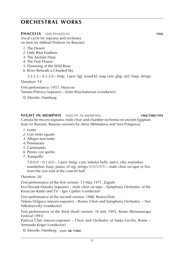### **PHACELIA** (DIE PHAZELIE) **1956**

Vocal cycle for soprano and orchestra on texts by Mikhail Prishvin (in Russian)

- *1*. The Desert
- *2*. Little Blue Feathers
- *3*. The Aeolian Harp
- *4*. The First Flower
- *5*. Flowering of the Wild Rose
- *6*. River Beneath a Clouded Sky

3.2.2.2 – 4.2.2.0 – timp. 3 perc (tgl, wood bl, susp cym, glsp, xyl). harp. strings

Duration: 14'

First performance: 1957, Moscow Tamara Petrova (soprano) – Emin Khachaturyan (conductor)

© Sikorski, Hamburg

### **NIGHT IN MEMPHIS** (NACHT IN MEMPHIS) **1968**/**1988**/**1992**

Cantata for mezzo-soprano, male choir and chamber orchestra on ancient Egyptian texts (in Russian, Russian versions by Anna Akhmatova and Vera Potapova)

- *1*. Lento
- *2*. Con moto eguale
- *3*. Allegro non tanto
- *4*. Pensieroso
- *5*. Caminando
- *6*. Presto con spirito
- *7*. Tranquillo

 $1.0.0.0 - 0.1.0.0 - 3$  perc (timp, cym, tubular bells, tam-t, vibr, marimba). mandoline. harp. piano. el org. strings  $(1/1/1/1/1)$  – male choir on tape or live from the rear end of the concert hall

Duration: 26'

First performance of the first version: 13 May 1971, Zagreb Eva Novsak-Houska (soprano) – male choir on tape – Symphony Orchestra of the

Kroacian Radio and TV – Igor Gjadov (conductor)

First performance of the second version: 1988, Rostov/Don Yelena Dolgova (mezzo-soprano) – Rostov Choir and Symphony Orchestra – Yuri Nikolayevsky (conductor)

First performance of the third (final) version: 16 July 1993, Rome (Romaeuropa Festival 1993)

Patricia Chiti (mezzo-soprano) – Choir and Orchestra of Santa Cecilia, Rome – Armando Kriger (conductor)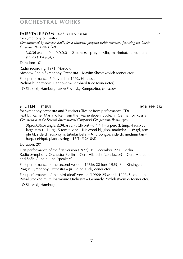### **FAIRYTALE POEM** (MÄRCHENPOEM) **1971**

for symphony orchestra

*Commissioned by Moscow Radio for a children's program (with narrator) featuring the Czech fairy-tale 'The Little Chalk'*

 $3.0.3$ (bass cl). $0 - 0.0.0.0 - 2$  perc (susp cym, vibr, marimba). harp. piano. strings (10/8/6/4/2)

Duration: 10'

Radio recording: 1971, Moscow Moscow Radio Symphony Orchestra – Maxim Shostakovich (conductor)

First performance: 5 November 1992, Hannover Radio-Philharmonie Hannover – Bernhard Klee (conductor)

© Sikorski, Hamburg · *score:* Sovetsky Kompozitor, Moscow

### **STUFEN** (STEPS) **1972**/**1986**/**1992**

for symphony orchestra and 7 reciters (live or from performance CD) Text by Rainer Maria Rilke (from the 'Marienleben' cycle; in German or Russian) *Commended at the Seventh International Composer's Competition, Rome,* 1974

3(picc).3(cor anglais).3(bass cl).3(db bn) – 6.4.4.1 – 5 perc (**I**: timp, 4 susp cym, large tam-t – **II**: tgl, 5 tom-t, vibr – **III**: wood bl, glsp, marimba – **IV**: tgl, temple bl, side dr, susp cym, tubular bells – **V**: 5 bongos, side dr, medium tam-t). harp. cel/hpd. piano. strings (16/14/12/10/8)

Duration: 20'

First performance of the first version (1972): 19 December 1990, Berlin Radio Symphony Orchestra Berlin – Gerd Albrecht (conductor) – Gerd Albrecht and Sofia Gubaidulina (speakers)

First performance of the second version (1986): 22 June 1989, Bad Kissingen Prague Symphony Orchestra – Jiri Belohlávek, conductor

First performance of the third (final) version (1992): 25 March 1993, Stockholm Royal Stockholm Philharmonic Orchestra – Gennady Rozhdestvensky (conductor)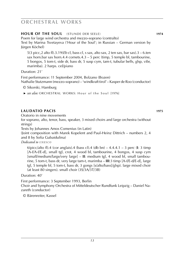### **HOUR OF THE SOUL** (STUNDE DER SEELE) **1974**

Poem for large wind orchestra and mezzo-soprano (contralto)

Text by Marina Tsvetayeva ('Hour of the Soul'; in Russian – German version by Jürgen Köchel)

5(3 picc,2 alto fl).3.19(*Eb* cl, bass cl, s sax, alto sax, 2 ten sax, bar sax).3 – 6.ten sax horn.bar sax horn.4.4 cornets.4.3 – 5 perc (timp, 5 temple bl, tambourine, 5 bongos, 5 tom-t, side dr, bass dr, 5 susp cym, tam-t, tubular bells, glsp, vibr, marimba). 2 harps. cel/piano

Duration: 21'

First performance: 11 September 2004, Bolzano (Bozen) Nathalie Stutzmann (mezzo-soprano) – 'windkraft tirol' – Kasper de Roo (conductor)

- © Sikorski, Hamburg
- ► *see also:* ORCHESTRAL WORKS: Hour of the Soul [1976]

### **LAUDATIO PACIS 1975**

Oratorio in nine movements

for soprano, alto, tenor, bass, speaker, 3 mixed choirs and large orchestra (without strings)

Texts by Johannes Amos Comenius (in Latin)

(Joint composition with Marek Kopelent and Paul-Heinz Dittrich – numbers 2, 4 and 8 by Sofia Gubaidulina)

*Dedicated to u n e s c o*

6(picc/alto fl).4 (cor anglais).4 (bass cl).4 (db bn) – 4.4.4.1 – 3 perc (**I**: 3 timp [A-f/A-f/E-d], small tgl, crot, 4 wood bl, tambourine, 4 bongos, 4 susp cym [small/medium/large/very large] – **II**: medium tgl, 4 wood bl, small tambourine, 5 tom-t, bass dr, very large tam-t, marimba – **III**:3 timp [A-f/E-d/E-d], large tgl, 5 temple bl, 5 tom-t, bass dr, 3 gongs [s/alto/bass]/glsp). large mixed choir (at least 80 singers). small choir (3S/3A/3T/3B)

Duration: 40'

First performance: 3 September 1993, Berlin Choir and Symphony Orchestra of Mitteldeutscher Rundfunk Leipzig – Daniel Nazareth (conductor)

© Bärenreiter, Kassel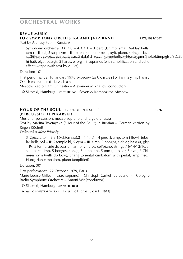#### **revue music for symphony orchestra and jazz band 1976**/**1995**/**2002**

Text by Afanasy Fet (in Russian)

barill <del>ant</del> Yaxpien)saxEtsdr2stsax.2-4.4.0.1 pper(4)5irem/prells/xyl/tom4r;cyrre/dtpl.bl;timp/glsp/SD/5b Symphony orchestra: 3.0.3.0 – 4.3.3.1 – 3 perc (**I**: timp, small Valday bells, tam-t – **II**: tgl, 5 susp cym – **III**: bass dr, tubular bells, xyl). piano. strings – Jazz hi hat). elgtr. bassgtr. 2 harps. el org – 3 sopranos (with amplification and echo effect) – tape (with text by A. Fet)

Duration: 10'

First performance: 16 January 1978, Moscow (as Concerto for Symphony Orchestra and Jazzband Moscow Radio Light Orchestra – Alexander Mikhailov (conductor)

© Sikorski, Hamburg · *score:* **sik 846** · Sovetsky Kompozitor, Moscow

#### **HOUR OF THE SOUL** (STUNDE DER SEELE) **1976** (**PERCUSSIO DI PEKARSKI**)

Music for percussion, mezzo-soprano and large orchestra

Text by Marina Tsvetayeva ("Hour of the Soul"; in Russian – German version by Jürgen Köchel)

*Dedicated to Mark Pekarsky*

3 (2picc,alto fl).3.3(*Eb* cl,ten sax).2 – 4.4.4.1 – 4 perc (**I**: timp, tom-t [low], tubular bells, xyl – **II**: 5 temple bl, 5 cym – **III**: timp, 5 bongos, side dr, bass dr, glsp – **IV**: 5 tom-t, side dr, bass dr, tam-t). 2 harps. cel/piano. strings (16/14/12/10/8) solo perc: timp, 5 bongos, conga, 5 temple bl, 5 tom-t, bass dr, 5 cym, 3 Chineses cym (with db bow), chang (oriental cimbalom with pedal, amplified), Hungarian cimbalom, piano (amplified)

Duration: 30'

First performance: 22 October 1979, Paris Marie-Louise Gilles (mezzo-soprano) – Christoph Caskel (percussion) – Cologne Radio Symphony Orchestra – Antoni Wit (conductor)

© Sikorski, Hamburg · *score:* **sik 1888**

 ► *see:* orchestral works: H o u r o f t h e S o u l [1974]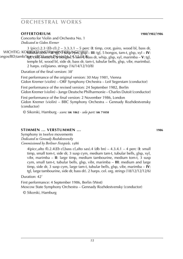### **OFFERTORIUM 1980**/**1982**/**1986**

Concerto for Violin and Orchestra No. 1 *Dedicated to Gidon Kremer*

WICHTIG: KORREKTE INSTRUMENTIERUNG!!!!!!!!! tubular bells – **II**: tgl, 3 susp cym, glsp – **III**: tgl, 5 bongos, tam-t, glsp, xyl – **IV**: , ongos/BD;tamb/5**t@p;ct/&D/tamutb?)p+str**kb&s1, \$ t&n1&,&ass dr, whip, glsp, xyl, marimba – **V**: tgl 3 (picc).2.3 (*Eb* cl).2 – 3.3.3.1 – 5 perc (**I**: timp, crot, guiro, wood bl, bass dr,

temple bl, wood bl, side dr, bass dr, tam-t, tubular bells, glsp, vibr, marimba). 2 harps. cel/piano. strings (16/14/12/10/8)

Duration of the final version: 38'

First performance of the original version: 30 May 1981, Vienna Gidon Kremer (violin) – ORF Symphony Orchestra – Leif Segerstam (conductor)

First performance of the revised version: 24 September 1982, Berlin Gidon Kremer (violin) – Junge Deutsche Philharmonie – Charles Dutoit (conductor)

First performance of the final version: 2 November 1986, London Gidon Kremer (violin) – BBC Symphony Orchestra – Gennady Rozhdestvensky (conductor)

© Sikorski, Hamburg · *score:* **sik 1862** · *solo part:* **sik 71058**

### **STIMMEN ... VERSTUMMEN ... 1986**

Symphony in twelve movements *Dedicated to Gennady Rozhdestvensky Commissioned by Berliner Festspiele,* 1986

4(picc,alto fl).2.4(*Eb* cl,bass cl,alto sax).4 (db bn) – 4.3.4.1 – 4 perc (**I**: small timp, small tom-t, side dr, 3 susp cym, medium tam-t, tubular bells, glsp, xyl, vibr, marimba – **II**: large timp, medium tambourine, medium tom-t, 3 susp cym, small tam-t, tubular bells, glsp, vibr, marimba – **III**: medium and large timp, side dr, 3 susp cym, large tam-t, tubular bells, glsp, vibr, marimba – **IV**: tgl, large tambourine, side dr, bass dr). 2 harps. cel. org. strings (18/12/12/12/6)

Duration: 42'

First performance: 4 September 1986, Berlin (West) Moscow State Symphony Orchestra – Gennady Rozhdestvensky (conductor)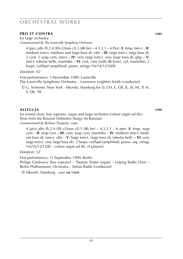### **PRO ET CONTRA 1989**

for large orchestra *Commissioned by The Louisville Symphony Orchestra*

4 (picc,alto fl).2.4 (*Eb* cl,bass cl).3 (db bn) – 4.3.3.1 – 6 Perc (**I**: timp, tam-t – **II**: medium tom-t, medium and large bass dr, vibr – **III**: large tom-t, large bass dr, 2 cym, 5 susp cym, tam-t – **IV**: very large tom-t, very large bass dr, glsp – **V**: tam-t, tubular bells, marimba – **VI**: crot, cym [with db bow], xyl, marimba). 2 harps. cel/hpd (amplified). piano. strings (16/14/12/10/8)

Duration: 42'

First performance: 3 November 1989, Louisville

The Louisville Symphony Orchestra – Lawrence Leighton Smith (conductor)

© G. Schirmer, New York · Sikorski, Hamburg for D, CH, E, GR, IL, IS, NL, P, N, S, DK, TR

### **ALLELUJA 1990**

for mixed choir, boy soprano, organ and large orchestra (colour organ ad lib.) Texts from the Russian Orthodox liturgy (in Russian)

*Commissioned by Berliner Festspiele,* 1990

4 (picc,alto fl).2.4 (*Eb* cl,bass cl).3 (db bn) – 4.3.3.1 – 6 perc (**I**: timp, susp cym – **II**: susp cym – **III**: cym, susp cym, marimba – **IV**: medium tom-t, medium bass dr, tam-t, vibr – **V**: large tom-t, large bass dr, tubular bells – **VI**: very large tom-t, very large bass dr). 2 harps. cel/hpd (amplified). piano. org. strings (16/16/12/12/8) – colour organ ad lib. (4 players)

Duration: 32'

First performance: 11 September 1990, Berlin

Philipp Cieslewicz (boy soprano) – Thomas Trotter (organ) – Leipzig Radio Choir – Berlin Philharmonic Orchestra – Simon Rattle (conductor)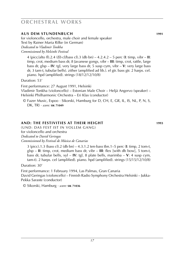### **AUS DEM STUNDENBUCH 1991**

for violoncello, orchestra, male choir and female speaker Text by Rainer Maria Rilke (in German) *Dedicated to Vladimir Tonkha Commissioned by Helsinki Festival*

4 (picc/alto fl).2.4 (*Eb* cl/bass cl).3 (db bn) – 4.2.4.2 – 5 perc (**I**: timp, vibr – **II**: timp, crot, medium bass dr, 8 Javanese gongs, vibr – **III**: timp, crot, rattle, large bass dr, glsp – **IV**: tgl, very large bass dr, 5 susp cym, vibr – **V**: very large bass dr, 3 tam-t, tubular bells). zither (amplified ad lib.). el gtr. bass gtr. 2 harps. cel. piano. hpd (amplified). strings (18/12/12/10/8)

Duration: 53'

First performance: 27 August 1991, Helsinki Vladimir Tonkha (violoncello) – Estonian Male Choir – Heljä Angervo (speaker) – Helsinki Philharmonic Orchestra – Eri Klas (conductor)

© Fazer Music, Espoo · Sikorski, Hamburg for D, CH, E, GR, IL, IS, NL, P, N, S, DK, TR) · *score:* **sik 71049**

### **AND: THE FESTIVITIES AT THEIR HEIGHT 1993**

(UND: DAS FEST IST IN VOLLEM GANG) for violoncello and orchestra *Dedicated to David Geringas Commissioned by Festival de Música de Canarias*

3 (picc).1.3 (bass cl).2 (db bn) – 4.3.1.2 ten-bass tbn.1–5 perc (**I**: timp, 2 tom-t, glsp – **II**: timp, crot, medium bass dr, vibr – **III**: flex [with db bow], 5 tom-t, bass dr, tubular bells, xyl – **IV**: tgl, 8 plate bells, marimba – **V**: 4 susp cym, tam-t). 2 harps. cel (amplified). piano. hpd (amplified). strings (15/15/12/10/8)

Duration: 30'

First performance: 1 February 1994, Las Palmas, Gran Canaria David Geringas (violoncello) – Finnish Radio Symphony Orchestra Helsinki – Jukka-Pekka Saraste (conductor)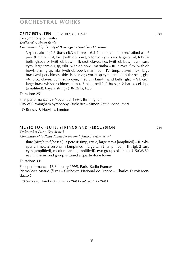### **ZEITGESTALTEN** (FIGURES OF TIME) **1994**

for symphony orchestra

*Dedicated to Simon Rattle*

### *Commissioned by the City of Birmingham Symphony Orchestra*

3 (picc, alto fl).2.3 (bass cl).3 (db bn) –  $6.3.2$ .ten-basstbn.dbtbn.1.dbtuba – 6 perc (**I**: timp, crot, flex [with db bow], 5 tom-t, cym, very large tam-t, tubular bells, glsp, vibr [with db bow] – **II**: crot, claves, flex [with db bow], cym, susp cym, large tam-t, glsp, vibr [with db bow], marimba – **III**: claves, flex [with db bow], cym, glsp, vibr [with db bow], marimba – **IV**: timp, claves, flex, large brass whisper chimes, side dr, bass dr, cym, susp cym, tam-t, tubular bells, glsp –**V**: crot, claves, cym, susp cym, medium tam-t, hand bells, glsp – **VI**: crot, large brass whisper chimes, tam-t, 3 plate bells). 2 bassgtr. 2 harps. cel. hpd (amplified). bayan. strings (18/12/12/10/8)

Duration: 25'

First performance: 29 November 1994, Birmingham

City of Birmingham Symphony Orchestra – Simon Rattle (conductor)

© Boosey & Hawkes, London

#### **MUSIC FOR FLUTE, STRINGS AND PERCUSSION 1994**

*Dedicated to Pierre-Yves Artaud*

*Commissioned by Radio France for the music festival 'Présences* 95*'*

flute (picc/alto fl/bass fl). 3 perc (**I**: timp, rattle, large tam-t [amplified] – **II**: whisper chimes, 2 susp cym [amplified], large tam-t [amplified] – **III**: tgl, 2 susp cym [amplified], medium tam-t [amplified]). two groups of strings (15/0/6/5/4 each), the second group is tuned a quarter-tone lower

Duration: 33'

First performance: 18 February 1995, Paris (Radio France) Pierre-Yves Artaud (flute) – Orchestre National de France – Charles Dutoit (conductor)

© Sikorski, Hamburg · *score:* **sik 71032** · *solo part:* **sik 71033**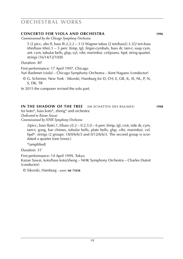### **concerto for viola and orchestra 1996**

*Commissioned by the Chicago Symphony Orchestra*

5 (2 picc, alto fl, bass fl).2.2.2 – 3 (3 Wagner tubas [2 ten/bass]).3.3[2 ten-bass trbn/bass trbn].1 – 5 perc (timp, tgl, finger-cymbals, bass dr, tam-t, susp cym, ant. cym, tubular bells, glsp, xyl, vibr, marimba). cel/piano. hpd. string quartet. strings (16/14/12/10/8)

Duration: 40'

First performance: 17 April 1997, Chicago Yuri Bashmet (viola) – Chicago Symphony Orchestra – Kent Nagano (conductor)

© G. Schirmer, New York · Sikorski, Hamburg for D, CH, E, GR, IL, IS, NL, P, N, S, DK, TR

In 2015 the composer revised the solo part.

#### **IN THE SHADOW OF THE TREE** (IM SCHATTEN DES BAUMES) **1998**

for koto\*, bass koto\*, zheng\* and orchestra *Dedicated to Kazue Sawai Commissioned by NHK Symphony Orchestra*

 $2$ (picc, bass flute).1.3(bass cl).2 – 0.2.3.0 – 6 perc (timp, tgl, crot, side dr, cym, tam-t, gong, bar chimes, tubular bells, plate bells, glsp, vibr, marimba). cel. hpd<sup>\*</sup>. strings (2 groups: 18/0/6/6/3 and 0/12/6/6/3. The second group is scordated a quarter tone lower.)

\*(amplified)

Duration: 31'

First performance: 14 April 1999, Tokyo

Kazue Sawai, koto/bass koto/zheng – NHK Symphony Orchestra – Charles Dutoit (conductor)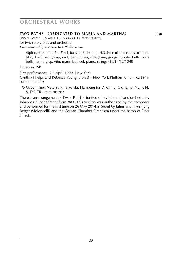### **two paths** (**dedicated to maria and martha**) **1998**

(zwei wege [maria und martha gewidmet]) for two solo violas and orchestra *Commissioned by The New York Philharmonic*

4(picc, bass flute).2.4(*Eb* cl, bass cl).3(db bn) – 4.3.3(ten trbn, ten-bass trbn, db trbn).1 – 6 perc (timp, crot, bar chimes, side drum, gongs, tubular bells, plate bells, tam-t, glsp, vibr, marimba). cel. piano. strings (16/14/12/10/8)

Duration: 24'

First performance: 29. April 1999, New York

Cynthia Phelps and Rebecca Young (violas) – New York Philharmonic – Kurt Masur (conductor)

© G. Schirmer, New York · Sikorski, Hamburg for D, CH, E, GR, IL, IS, NL, P, N, S, DK, TR · *score:* **sik 6907**

There is an arrangement of Tw o P a t h s for two solo violoncelli and orchestra by Johannes X. Schachtner from 2014. This version was authorized by the composer and performed for the first time on 26 May 2014 in Seoul by Julius and Hyun-Jung Berger (violoncelli) and the Corean Chamber Orchestra under the baton of Peter Hirsch.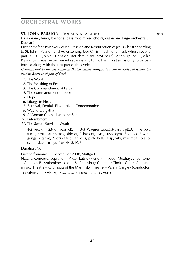### **st. John passion** (johannes-passion) **2000**

for soprano, tenor, baritone, bass, two mixed choirs, organ and large orchestra (in Russian)

First part of the two-work cycle 'Passion and Ressurection of Jesus Christ according to St. John' [Passion und Auferstehung Jesu Christi nach Johannes], whose second part is St. John Easter (for details see next page). Although St. John P assion may be performed separately, St. John E aster is only to be performed along with the first part of the cycle.

*Commissioned by the Internationale Bachakademie Stuttgart in commemoration of Johann Sebastian Bach's* 250*th year of death*

- *1*. The Word
- *2*. The Washing of Feet
- *3*. The Commandment of Faith
- *4*. The commandment of Love
- *5*. Hope
- *6*. Liturgy in Heaven
- *7*. Betrayal, Denial, Flagellation, Condemnation
- *8*. Way to Golgatha
- *9*. A Woman Clothed with the Sun
- *10*. Entombment
- *11*. The Seven Bowls of Wrath

4(2 picc).1.4(*Eb* cl, bass cl).1 – 3(3 Wagner tubas).3(bass trpt).3.1 – 6 perc (timp, crot, bar chimes, side dr, 3 bass dr, cym, susp. cym, 5 gongs, 2 wind gongs, 2 tam-t, 2 sets of tubular bells, plate bells, glsp, vibr, marimba). piano. synthesizer. strings (16/14/12/10/8)

Duration: 90'

First performance: 1 September 2000, Stuttgart

Natalia Korneeva (soprano) – Viktor Lutsiuk (tenor) – Fyodor Mozhayev (baritone) – Gennady Bezzubenkov (bass) – St. Petersburg Chamber Choir – Choir of the Mariinsky Theatre – Orchestra of the Mariinsky Theatre – Valery Gergiev (conductor)

© Sikorski, Hamburg · *piano score:* **sik 8692** · *score:* **sik 71025**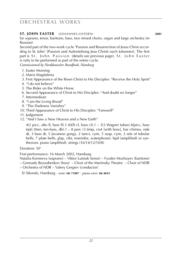### **st. John easter** (johannes-ostern) **2001**

for soprano, tenor, baritone, bass, two mixed choirs, organ and large orchestra (in Russian)

Second part of the two-work cycle 'Passion and Resurrection of Jesus Christ according to St. John' [Passion und Auferstehung Jesu Christi nach Johannes]. The first part is St. John Passion (details see previous page). St. John Easter is only to be performed as part of the entire cycle.

*Commissioned by Norddeutscher Rundfunk, Hamburg*

- *1*. Easter Morning
- *2*. Maria Magdalena
- *3*. First Appearance of the Risen Christ to His Disciples: "Receive the Holy Spirit"
- *4*. "I do not believe"
- *5*. The Rider on the White Horse
- *6*. Second Appearance of Christ to His Disciples: "And doubt no longer"
- *7*. Intermedium
- *8*. "I am the Living Bread"
- *9*. "The Darkness Vanishes"
- *10*. Third Appearance of Christ to His Disciples: "Farewell"
- *11*. Judgement
- *12*. "And I Saw a New Heaven and a New Earth"

4(2 picc, alto fl, bass fl).1.4(*Eb* cl, bass cl).1 – 3(3 Wagner tubas).4(picc, bass trpt).3(ten, ten-bass, db).1 – 8 perc (3 timp, crot [with bow], bar chimes, side dr, 3 bass dr, 5 Javanese gongs, 2 tam-t, cym, 5 susp. cym, 2 sets of tubular bells, 7 plate bells, glsp, vibr, marimba, waterphone). hpd (amplified) or synthesizer. piano (anplified). strings (16/14/12/10/8)

#### Duration: 50'

First performance: 16 March 2002, Hamburg

Natalia Korneeva (soprano) – Viktor Lutsiuk (tenor) – Fyodor Mozhayev (baritone)

- Gennady Bezzubenkov (bass) Choir of the Mariinsky Theatre Choir of NDR
- Orchestra of NDR Valery Gergiev (conductor)

© Sikorski, Hamburg · *score:* **sik 71087** · *piano score:* **sik 8693**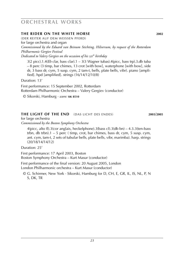### **the rider on the white horse 2002**

(der Reiter auf dem weissen pferd) for large orchestra and organ *Commissioned by the Eduard van Beinum Stichting, Hilversum, by request of the Rotterdam Philharmonic Gergiev Festival Dedicated to Valery Gergiev on the occasion of his* 50*th birthday*

3(2 picc).1.4(*Eb* clar, bass clar).1 – 3(3 Wagner tubas).4(picc, bass trp).3.db tuba – 8 perc (3 timp, bar chimes, 13 crot [with bow], waterphone [with bow], side dr, 3 bass dr, cym, 5 susp. cym, 2 tam-t, bells, plate bells, vibr). piano [amplified]. hpd [amplified]. strings (16/14/12/10/8)

Duration: 13'

First performance: 15 September 2002, Rotterdam Rotterdam Philharmonic Orchestra – Valery Gergiev (conductor)

© Sikorski, Hamburg · *score:* **sik 8510**

### **the light of the end** (das licht des endes) **2003**/**2005**

for large orchestra *Commissioned by the Boston Symphony Orchestra*

4(picc, alto fl).3(cor anglais, heckelphone).3(bass cl).3(db bn) – 4.3.3(ten-bass trbn, db trbn).1 – 5 perc ( timp, crot, bar chimes, bass dr, cym, 5 susp. cym, ant. cym, tam-t, 2 sets of tubular bells, plate bells, vibr, marimba). harp. strings (20/18/14/14/12)

Duration: 25'

First performance: 17 April 2003, Boston Boston Symphony Orchestra – Kurt Masur (conductor)

First performance of the final version: 20 August 2005, London London Philharmonic orchestra – Kurt Masur (conductor)

© G. Schirmer, New York · Sikorski, Hamburg for D, CH, E, GR, IL, IS, NL, P, N S, DK, TR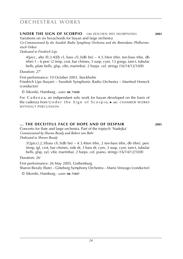### **under the sign of scorpio** (im zeichen des skorpions) **2003**

Variations on six hexachords for bayan and large orchestra

*Co-Commissioned by the Swedish Radio Symphony Orchestra and the Rotterdams Philharmonisch Orkest*

*Dedicated to Friedrich Lips*

4(picc, alto fl).3.4(*Eb* cl, bass cl).3(db bn) – 4.3.3(ten trbn, ten-bass trbn, db trbn).1 – 6 perc (2 timp, crot, bar chimes, 5 susp. cym, 13 gongs, tam-t, tubular bells, plate bells, glsp, vibr, marimba). 2 harps. cel. strings (16/14/12/10/8)

Duration: 27'

First performance: 10 October 2003, Stockholm Friedrich Lips (bayan) – Swedish Symphonic Radio Orchestra – Manfred Honeck (conductor)

© Sikorski, Hamburg · *score:* **sik 71030**

For C a d e n z a, an indipendant solo work for bayan developed on the basis of the cadenza from Under the Sign of Scorpio, ► *see*: CHAMBER WORKS without percussion

### **... the deceitful face of hope and of despair 2005**

Concerto for flute and large orchestra. Part of the triptych 'Nadejka' *Commissioned by Sharon Bezaly and Robert von Bahr Dedicated to Sharon Bezaly*

 $3(2picc).2.3(bass cl).3(db bn) – 4.3.4(ten trbn, 2 ten-bass trbn, db trbn). perc$ (timp, tgl, crot, bar chimes, side dr, 3 bass dr, cym, 3 susp. cym, tam-t, tubular bells, glsp, xyl, vibr, marimba). 2 harps. cel. piano. strings (16/14/12/10/8)

Duration: 26'

First performance: 26 May 2005, Gothenburg Sharon Bezaly (flute) – Göteborg Symphony Orchestra – Mario Venzago (conductor)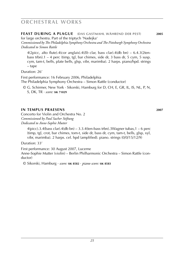### **feast during a plague** (das gastmahl während der pest) **2005**

for large orchestra. Part of the triptych 'Nadejka'

*Commissioned by The Philadelphia Symphony Orchestra and The Pittsburgh Symphony Orchestra Dedicated to Simon Rattle*

4(2picc, alto flute).4(cor anglais).4(*Eb* clar, bass clar).4(db bn) – 6.4.3(2tenbass trbn).1 – 4 perc (timp, tgl, bar chimes, side dr, 3 bass dr, 5 cym, 5 susp. cym, tam-t, bells, plate bells, glsp, vibr, marimba). 2 harps. piano/hpd. strings – tape

Duration: 26'

First performance: 16 February 2006, Philadelphia The Philadelphia Symphony Orchestra – Simon Rattle (conductor)

© G. Schirmer, New York · Sikorski, Hamburg for D, CH, E, GR, IL, IS, NL, P, N, S, DK, TR · *score:* **sik 71029**

### **in tempus praesens 2007**

Concerto for Violin and Orchestra No. 2 *Commissioned by Paul Sacher Stiftung Dedicated to Anne-Sophie Mutter*

 $4(picc).3.4(bass clar).4(db bn) - 3.3.4(ten-bass trbn).3Wagner tubas, 1 – 6 perc$ (timp, tgl, crot, bar chimes, tom-t, side dr, bass dr, cym, tam-t, bells, glsp, xyl, vibr, marimba). 2 harps. cel. hpd (amplified). piano. strings (0/0/15/12/9)

Duration: 33'

First performance: 30 August 2007, Lucerne Anne-Sophie Mutter (violin) – Berlin Philharmonic Orchestra – Simon Rattle (conductor)

© Sikorski, Hamburg · *score:* **sik 8582** · *piano score:* **sik 8583**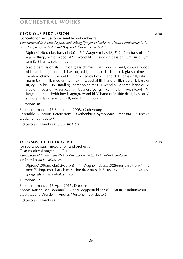### **glorious percussion 2008**

Concerto for percussion ensemble and orchestra

*Commissioned by Anders Loguin, Gothenburg Symphony Orchestra, Dresden Philharmonic, Lucerne Symphony Orchestra and Bergen Philharmonic Orchestra*

3(picc).1.4(*eb* clar, bass clar).0 – 2(2 Wagner tubas [*B*, *F*].2.4(ten-bass trbn).2 – perc (timp, whip, wood bl VI, wood bl VII, side dr, bass dr, cym, susp.cym, tam-t). 2 harps. cel. strings

5 solo percussionists (**I**: crot I, glass chimes I, bamboo chimes I, cabaza, wood bl I, darabuca, hand dr I, bass dr, xyl I, marimba I – **II**: crot I, glass chimes II, bamboo chimes II, wood bl II, flex I [with bow], hand dr II, bass dr II, vibr II, marimba II – **III**: medium tgl, flex II, wood bl III, hand dr III, side dr I, bass dr III, xyl II, vibr I – **IV**: small tgl, bamboo chimes III, wood bl IV, tamb, hand dr IV, side dr II, bass dr IV, susp.cym I, Javanese gongs I, xyl II, vibr I [with bow] – **V**: large tgl, crot II [with bow], agogo, wood bl V, hand dr V, side dr III, bass dr V, susp.cym, Javanese gongs II, vibr II [with bow])

Duration: 38'

First performance: 18 September 2008, Gothenburg Ensemble 'Glorious Percussion' – Gothenburg Symphony Orchestra – Gustavo Dudamel (conductor)

© Sikorski, Hamburg · *score:* **sik 71026**

### **o komm, heiliger geist 2015**

for soprano, bass, mixed choir and orchestra Text: medieval prayers (in German) *Commissioned by Staatskapelle Dresden and Frauenkirche Dresden Foundation Dedicated to Andres Mustonen*

 $3(pice).1.3(bass clar).2(db bn) - 4.4Wagner tubas.3.3(2tenor-bass-trbn).1 - 5$ perc (5 timp, crot, bar chimes, side dr, 2 bass dr, 5 susp.cym, 2 tam-t, Javanese gongs. glsp. marimba). strings

Duration: 12'

First performance: 18 April 2015, Dresden Sophie Karthäuser (soprano) – Georg Zeppenfeld (bass) – MDR Rundfunkchor – Staatskapelle Dresden – Andres Mustonen (conductor)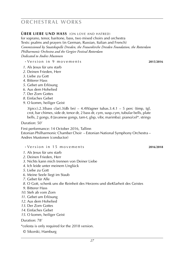### **über liebe und hass** (on love and hatred)

for soprano, tenor, baritone, bass, two mixed choirs and orchestra Texts: psalms and prayers (in German, Russian, Italian and French) *Commissioned by Staatskapelle Dresden, the Frauenkirche Dresden Foundation, the Rotterdam Philharmonic Orchestra and the Gergiev Festival Rotterdam Dedicated to Andres Mustonen*

**·** Ve r s i o n i n 9 m o v e m e n t s **2015**/**2016**

- *1*. Als Jesus für uns starb
- *2*. Deinen Frieden, Herr
- *3*. Liebe zu Gott
- *4*. Bitterer Hass
- *5*. Gebet um Erlösung
- *6*. Aus dem Hohelied
- *7*. Der Zorn Gottes
- *8*. Einfaches Gebet
- *9*. O komm, heiliger Geist

 $3(picc)$ .2.3(bass clar).3(db bn) – 4.4Wagner tubas.3.4.1 – 5 perc (timp, tgl, crot, bar chimes, side dr, tenor dr, 2 bass dr, cym, susp.cym, tubular bells, plate bells, 2 gongs, 8 Javanese gongs, tam-t, glsp, vibr, marimba). piano/cel\*. strings

Duration: 50'

First performance: 14 October 2016, Tallinn Estonian Philharmonic Chamber Choir – Estonian National Symphony Orchestra – Andres Mustonen (conductor)

- **·** Ve r s i o n i n 1 5 m o v e m e n t s **2016**/**2018**
- *1*. Als Jesus für uns starb
- *2*. Deinen Frieden, Herr
- *3*. Nichts kann mich trennen von Deiner Liebe
- *4*. Ich leide unter meinem Unglück
- *5*. Liebe zu Gott
- *6*. Meine Seele liegt im Staub
- *7*. Gebet für Alle
- *8*. O Gott, schenk uns die Reinheit des Herzens und dieKlarheit des Geistes
- *9*. Bitterer Hass
- *10*. Steh ab vom Zorn
- *11*. Gebet um Erlösung
- *12*. Aus dem Hohelied
- *13*. Der Zorn Gottes
- *14*. Einfaches Gebet
- *15*. O komm, heiliger Geist

Duration: 78'

\*celesta is only required for the 2018 version.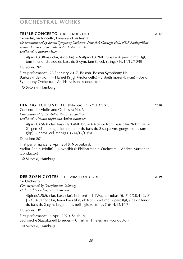### **triple concerto** (tripelkonzert) **2017**

for violin, violoncello, bayan and orchestra *Co-commissioned by Boston Symphony Orchestra, New York Carnegie Hall, NDR Radiophilharmonie Hannover and Tonhalle-Orchester Zürich Dedicated to Elsbeth Moser*

 $4(pice).3.3(bass clar).4(db bn) - 6.4(pice).3.2(db tuba) - 4 perc (timp, tgl, 5$ tom-t, tenor dr, side dr, bass dr, 5 cym, tam-t). cel. strings (16/14/12/10/8)

Duration: 26'

First performance: 23 February 2017, Boston, Boston Symphony Hall Baiba Skride (violin) – Harriet Krijgh (violoncello) – Elsbeth moser (bayan) – Boston Symphony Orchestra – Andris Nelsons (conductor)

© Sikorski, Hamburg

#### **dialog: ich und du** (dialogue: you and i) **2018**

Concerto for Violin and Orchestra No. 3 *Commissioned by the Vadim Repin Foundation Dedicated to Vadim Repin and Andres Mustonen*

 $4(picc).3.5(Eb clar, bass clar).4(db bn) - 4.4.tenor trbn. bass trbn.2(db tuba) -$ 21 perc (3 timp, tgl, side dr, tenor dr, bass dr, 2 susp.cym, gongs, bells, tam-t, glsp). 2 harps. cel. strings (16/14/12/10/8)

Duration: 20'

First performance: 2 April 2018, Novosibirsk Vadim Repin (violin) – Novosibirsk Philharmonic Orchestra – Andres Mustonen (conductor)

© Sikorski, Hamburg

#### **DER ZORN GOTTES** (THE WRATH OF GOD) **2019**

#### for Orchestra

*Commissioned by Osterfestspiele Salzburg Dedicated to Ludwig van Beethoven*

> 4(picc).3.5(*Eb* clar, bass clar).4(db bn) – 4.4Wagner tubas (*B*, *F* [2/2]).4 (*C*, *B*  $[1/3]$ ).4 (tenor trbn, tenor bass trbn, db trbn). 2 – timp, 2 perc (tgl, side dr, tenor dr, bass dr, 2 cym, large tam-t, bells, glsp). strings (16/14/12/10/8)

> > *28*

Duration: 18'

First performance: 6 April 2020, Salzburg Sächsische Staatskapell Dresden – Christian Thielemann (conductor)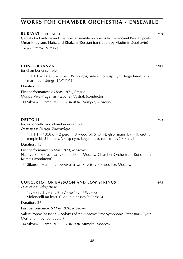#### **RUBAYAT** (RUBAIJAT) **1969**

Cantata for baritone and chamber ensemble on poems by the ancient Persian poets Omar Khayyám, Hafiz and Khakani (Russian translation by Vladimir Derzhavin)

 ► *see:* VOCAL WORKS

### **CONCORDANZA 1971**

for chamber ensemble

1.1.1.1 – 1.0.0.0 – 1 perc (5 bongos, side dr, 5 susp cym, large tam-t, vibr, marimba). strings (1/0/1/1/1)

Duration: 15'

First performance: 23 May 1971, Prague Musica Viva Pragensis – Zbynek Vostrak (conductor)

© Sikorski, Hamburg · *scores:* **sik 8866** , Muzyka, Moscow

#### **DETTO II 1972**

for violoncello and chamber ensemble *Dedicated to Natalya Shakhovskaya*

1.1.1.1 – 1.0.0.0 – 2 perc (I: 3 wood bl, 5 tom-t, glsp, marimba – II: crot, 5 temple bl, 5 bongos, 3 susp cym, large tam-t). cel. strings (1/1/1/1/1)

Duration: 15'

First performance: 5 May 1973, Moscow Natalya Shakhovskaya (violoncello) – Moscow Chamber Orchestra – Konstantin Krimets (conductor)

© Sikorski, Hamburg · *scores:* **sik 8552** , Sovetsky Kompozitor, Moscow

#### **CONCERTO FOR BASSOON AND LOW STRINGS 1975**

*Dedicated to Valery Popov*

 $1. \mathbf{J} = 84 / 2. \mathbf{J} = 60 / 3.5 \mathbf{J} = 60 / 4. - 7. \mathbf{J} = 72$ violoncelli (at least 4). double basses (at least 3)

Duration: 27'

First performance: 6 May 1976, Moscow

Valery Popov (bassoon) – Soloists of the Moscow State Symphony Orchestra – Pyotr Meshchaninov (conductor)

© Sikorski, Hamburg · *scores:* **sik 1978**, Muzyka, Moscow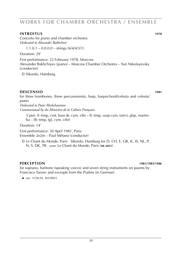#### **INTROITUS 1978**

Concerto for piano and chamber orchestra *Dedicated to Alexander Bakhchiev*

 $1.1.0.1 - 0.0.0.0 - \text{strings} (6/4/4/3/1)$ 

Duration: 29'

First performance: 22 February 1978, Moscow Alexander Bakhchiyev (piano) – Moscow Chamber Orchestra – Yuri Nikolayevsky (conductor)

© Sikorski, Hamburg

### **DESCENSIO 1981**

for three trombones, three percussionists, harp, harpsichord/celesta and celesta/ piano *Dedicated to Pyotr Meshchaninov*

*Commissioned by the Ministère de la Culture Française*

3 perc (I: timp, crot, bass dr, cym, vibr – II: timp, susp cym, tam-t, glsp, marimba – III: timp, tgl, cym, vibr)

Duration: 14'

First performance: 30 April 1981, Paris Ensemble 2e2m – Paul Méfano (conductor)

© Le Chant du Monde, Paris · Sikorski, Hamburg for D, CH, E, GR, IL, IS, NL, P, N, S, DK, TR · *score:* Le Chant du Monde, Paris (**sik 6831**)

### **PERCEPTION 1981**/**1983**/**1986**

for soprano, baritone (speaking voices) and seven string instruments on poems by Francisco Tanzer and excerpts from the Psalms (in German)

 ► *see:* VOKAL WORKS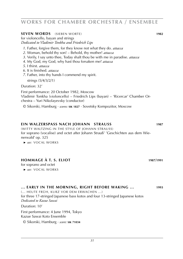#### **SEVEN WORDS** (SIEBEN WORTE) **1982**

for violoncello, bayan and strings *Dedicated to Vladimir Tonkha and Friedrich Lips*

- *1*. Father, forgive them, for they know not what they do. *attacca*
- *2*. Woman, behold thy son! Behold, thy mother! *attacca*
- *3*. Verily, I say unto thee, Today shalt thou be with me in paradise. *attacca*
- *4*. My God, my God, why hast thou forsaken me? *attacca*
- *5*. I thirst. *attacca*
- *6*. It is finished. *attacca*
- *7*. Father, into thy hands I commend my spirit.

strings (5/4/3/2/1)

Duration: 32'

First performance: 20 October 1982, Moscow Vladimir Tonkha (violoncello) – Friedrich Lips (bayan) – 'Ricercar' Chamber Orchestra – Yuri Nikolayevsky (conductor)

© Sikorski, Hamburg · *scores:* **sik 1827** · Sovetsky Kompozitor, Moscow

#### **EIN WALZERSPASS NACH JOHANN STRAUSS 1987**

(WITTY WALTZING IN THE STYLE OF JOHANN STRAUSS) for soprano (vocalise) and octet after Johann Strauß' 'Geschichten aus dem Wienerwald' op. 325

 ► *see:* VOCAL WORKS

### **HOMMAGE À T. S. Eliot 1987**/**1991**

for soprano and octet

 ► *see:* VOCAL WORKS

#### **... EARLY IN THE MORNING, RIGHT BEFORE WAKING ... 1993**

(... HEUTE FRÜH, KURZ VOR DEM ERWACHEN ...) for three 17-stringed Japanese bass kotos and four 13-stringed Japanese kotos *Dedicated to Kazue Sawai* Duration: 10'

First performance: 4 June 1994, Tokyo

Kazue Sawai Koto Ensemble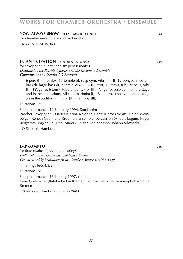**NOW ALWAYS SNOW** (JETZT IMMER SCHNEE) **1993** for chamber ensemble and chamber choir

**IN ANTICIPATION** (IN ERWARTUNG) **1994**

for saxophone quartet and six percussionists *Dedicated to the Raschèr Quartet and the Kroumata Ensemble Commissioned by Svenska Rikskonserter*

6 perc (**I**: timp, flex, 15 temple bl, susp cym, vibr [I] – **II**: 12 bongos, medium bass dr, large bass dr, 3 tam-t, vibr [II] – **III**: crot, 12 tom-t, tubular bells, vibr [I] – **IV**: guiro, 6 tom-t, tubular bells, vibr [II] – **V**: guiro, susp cym [on the stage and in the auditorium], vibr [I], marimba [I] – **VI**: guiro, susp cym [on the stage an in the auditorium], vibr [II], marimba [II])

Duration: 17'

First performance: 12 February 1994, Stockholm

Raschèr Saxophone Quartet (Carina Raschèr, Harry Kinross White, Bruce Weinberger, Keneth Coon) and Kroumata Ensemble, percussion (Anders Loguin, Roger Bergström, Ingvar Hallgren, Anders Holdar, Leif Karlsson, Johann Silvmark)

© Sikorski, Hamburg

### **impromptu 1996**

for flute (fl/alto fl), violin and strings *Dedicated to Irena Grafenauer and Gidon Kremer Commissioned by KölnMusik for the 'Schubert Anniversary Year* 1997*'*

strings (6/5/4/3/2)

Duration: 15'

First performance: 16 January 1997, Cologne Irena Grafenauer (flute) – Gidon Kremer, violin – Deutsche Kammerphilharmonie Bremen

 <sup>►</sup> *see:* VOCAL WORKS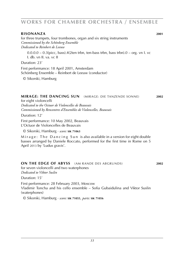#### **risonanza 2001**

for three trumpets, four trombones, organ and six string instruments *Commissioned by the Schönberg Ensemble Dedicated to Reinbert de Leeuw*

 $0.0.0.0 - 0.3$ (picc, bass).4(2ten trbn, ten-bass trbn, bass trbn). $0 -$  org. vn I. vc I. db. vn II. va. vc II

Duration: 23'

First performance: 18 April 2001, Amsterdam Schönberg Ensemble – Reinbert de Leeuw (conductor)

© Sikorski, Hamburg

#### **mirage: the dancing sun** (mirage: die tanzende sonne) **2002**

for eight violoncelli *Dedicated to the Octuor de Violoncelles de Beauvais Commissioned by Rencontres d'Ensembles de Violoncelles, Beauvais*

Duration: 12'

First performance: 10 May 2002, Beauvais L'Octuor de Violoncelles de Beauvais

© Sikorski, Hamburg · *score:* **sik 71063**

Mirage: The Dancing Sun is also available in a version for eight double basses arranged by Daniele Roccato, performed for the first time in Rome on 5 April 2013 by 'Ludus gravis'.

#### **on the edge of abyss** (am rande des abgrunds) **2002**

for seven violoncelli and two waterphones *Dedicated to Viktor Suslin*

Duration: 15'

First performance: 28 February 2003, Moscow Vladimir Toncha and his cello ensemble – Sofia Gubaidulina and Viktor Suslin (waterphones)

© Sikorski, Hamburg · *score:* **sik 71055**, *parts:* **sik 71056**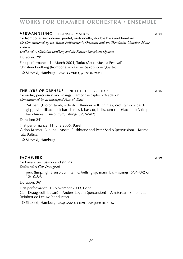#### **verwandlung** (transformation) **2004**

for trombone, saxophone quartet, violoncello, double bass and tam-tam *Co-Commissioned by the Turku Philharmonic Orchestra and the Trondheim Chamber Music Festival*

*Dedicated to Christian Lindberg and the Raschèr Saxophone Quartet*

Duration: 29'

First performance: 14 March 2004, Turku (Aboa Musica Festival) Christian Lindberg (trombone) – Raschèr Saxophone Quartet

© Sikorski, Hamburg · *score:* **sik 71003**, *parts:* **sik 71019**

for violin, percussion and strings. Part of the triptych 'Nadejka'

*Commissioned by 'les muséiques' Festival, Basel* 2-4 perc (**I**: crot, tamb, side dr I, thunder – **II**: chimes, crot, tamb, side dr II, glsp, xyl – **III**[ad lib.]: bar chimes I, bass dr, bells, tam-t – **IV**[ad lib.]: 3 timp,

bar chimes II, susp. cym). strings (6/5/4/4/2)

Duration: 24'

First performance: 11 June 2006, Basel

Gidon Kremer (violin) – Andrei Pushkarev and Peter Sadlo (percussion) – Kremerata Baltica

© Sikorski, Hamburg

#### **fachwerk 2009**

for bayan, percussion and strings *Dedicated to Geir Draugsvoll*

> perc (timp, tgl, 3 susp.cym, tam-t, bells, glsp, marimba) – strings (6/5/4/3/2 or 12/10/8/6/4)

Duration: 36'

First performance: 13 November 2009, Gent Geir Draugsvoll (bayan) – Anders Loguin (percussion) – Amsterdam Sinfonietta – Reinbert de Leeuw (conductor)

© Sikorski, Hamburg · *study score:* **sik 8691** · *solo part:* **sik 71062**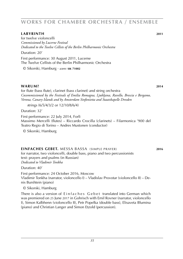#### **labyrinth 2011**

for twelve violoncelli *Commissioned by Lucerne Festival Dedicated to the Twelve Cellists of the Berlin Philharmonic Orchestra*

Duration: 20'

First performance: 30 August 2011, Lucerne The Twelve Cellists of the Berlin Philharmonic Orchestra

© Sikorski, Hamburg · *score:* **sik 71002**

#### **WARUM?** 2014

for flute (bass flute), clarinet (bass clarinet) and string orchestra *Cocommissioned by the Festivals of Emilia Romagna, Ljubljana, Ravello, Brescia e Bergamo, Verona, Canary Islands and by Amsterdam Sinfonietta and Staatskapelle Dresden*

*s*trings (6/5/4/3/2 or 12/10/8/6/4)

Duration: 32'

First performance: 22 July 2014, Forlì Massimo Mercelli (flutes) – Riccardo Crocilla (clarinets) – Filarmonica '900 del Teatro Regio di Torino – Andres Mustonen (conductor)

© Sikorski, Hamburg

### **einfaches gebet.** messa bassa (simple prayer) **2016**

for narrator, two violoncelli, double bass, piano and two percussionists text: prayers and psalms (in Russian) *Dedicated to Vladimir Tonkha*

Duration: 40'

First performance: 24 October 2016, Moscow Vladimir Tonkha (narrator, violoncello I) – Vladislav Provotar (violoncello II) – Denis Burshtein (piano)

© Sikorski, Hamburg

There is also a version of Einfaches Gebet translated into German which was premiered on 25 June 2017 in Gohrisch with Emil Rovner (narrator, violoncello I), Simon Kalbhenn (violoncello II), Petr Popelka (double bass), Elisaveta Blumina (piano) and Christian Langer and Simon Etzold (percussion).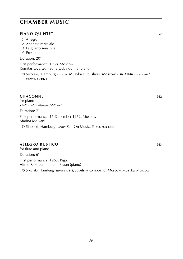## **chamber music**

### **PIANO QUINTET 1957**

- *1*. Allegro
- *2*. Andante marciale
- *3*. Larghetto sensibile
- *4*. Presto

### Duration: 20'

First performance: 1958, Moscow Komitas Quartet – Sofia Gubaidulina (piano)

© Sikorski, Hamburg · *scores:* Muzyka Publishers, Moscow · **sik 71020** · *score and parts:* **sik 71021**

### **CHACONNE 1962**

for piano *Dedicated to Marina Mdivani* Duration: 7' First performance: 15 December 1962, Moscow Marina Mdivani © Sikorski, Hamburg · *score:* Zen-On Music, Tokyo (**sik 6849**)

### **ALLEGRO RUSTICO 1963**

for flute and piano Duration: 6' First performance: 1963, Riga Alfred Razbaum (flute) – Braun (piano) © Sikorski, Hamburg · *scores:* **sik 814**, Sovetsky Kompozitor, Moscow, Muzyka, Moscow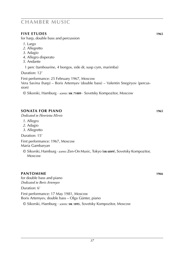### **chamber music**

### **FIVE ETUDES 1965**

for harp, double bass and percussion

- *1*. Largo
- *2*. Allegretto
- *3*. Adagio
- *4*. Allegro disperato
- *5*. Andante
	- 1 perc (tambourine, 4 bongos, side dr, susp cym, marimba)

Duration: 12'

First performance: 25 February 1967, Moscow Vera Savina (harp) – Boris Artemyev (double bass) – Valentin Snegiryov (percussion)

© Sikorski, Hamburg · *scores:* **sik 71009** · Sovetsky Kompozitor, Moscow

### **SONATA for piano 1965**

*Dedicated to Henrietta Mirvis*

- *1*. Allegro
- *2*. Adagio
- *3*. Allegretto

Duration: 15'

First performance: 1967, Moscow Maria Gambaryan

© Sikorski, Hamburg · *scores:* Zen-On Music, Tokyo (**sik 6849**), Sovetsky Kompozitor, Moscow

### **PANTOMIME 1966**

for double bass and piano *Dedicated to Boris Artemyev*

Duration: 6'

First performance: 17 May 1981, Moscow Boris Artemyev, double bass – Olga Günter, piano

© Sikorski, Hamburg · *scores:* **sik 1895**, Sovetsky Kompozitor, Moscow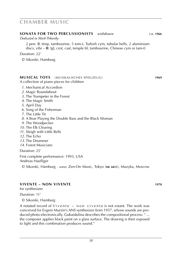### **chamber music**

#### **SONATA for two percussionists** *withdrawn* ca. **1966**

#### *Dedicated to Mark Pekarsky*

2 perc (**I**: timp, tambourine, 5 tom-t, Turkish cym, tubular bells, 2 aluminium discs, vibr – **II**: tgl, crot, cast, temple bl, tambourine, Chinese cym or tam-t)

Duration: 22'

© Sikorski, Hamburg

#### **MUSICAL TOYS** (MUSIKALISCHES SPIELZEUG) **1969**

A collection of piano pieces for children

- *1*. Mechanical Accordion
- *2*. Magic Roundabout
- *3*. The Trumpeter in the Forest
- *4*. The Magic Smith
- *5*. April Day
- *6*. Song of the Fisherman
- *7*. The Little Tit
- *8*. A Bear Playing the Double Bass and the Black Woman
- *9*. The Woodpecker
- *10*. The Elk Clearing
- *11*. Sleigh with Little Bells
- *12*. The Echo
- *13*. The Drummer
- *14*. Forest Musicians

Duration: 25'

First complete performance: 1993, USA Andreas Haefliger

© Sikorski, Hamburg · *scores:* Zen-On Music, Tokyo (**sik 6851**), Muzyka, Moscow

### **VIVENTE – NON VIVENTE 1970**

for synthesizer

Duration: 11'

© Sikorski, Hamburg

A notated record of  $V$ ivente – non vivente is not extant. The work was conceived for Evgeni Murzin's ANS synthesizer from 1957, whose sounds are produced photo-electronically. Gubaidulina describes the compositional process: " ... the composer applies black paint on a glass surface. The drawing is then exposed to light and this combination produces sound."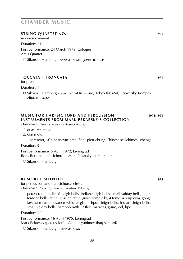### **STRING QUARTET No. 1 1971**

in one movement Duration: 21' First performance: 24 March 1979, Cologne Arcis Quartet © Sikorski, Hamburg · *score:* **sik 71023** · *parts:* **sik 71024**

### **TOCCATA – TRONCATA 1971**

for piano

Duration: 1'

© Sikorski, Hamburg · *scores:* Zen-On Music, Tokyo (**sik 6849**) · Sovetsky Kompozitor, Moscow

### **MUSIC FOR HARPSICHORD AND PERCUSSION 1971**/**1993 instruments from Mark Pekarsky's Collection**

*Dedicated to Boris Berman and Mark Pekarsky*

- *1*. quasi recitativo
- *2*. con moto

1 perc (crot, 6 Chinese cym (amplified), pien-chung (Chinese bell chimes), zheng)

Duration: 9'

First performance: 5 April 1972, Leningrad Boris Berman (harpsichord) – Mark Pekarsky (percussion)

© Sikorski, Hamburg

#### **RUMORE E SILENZIO 1974**

for percussion and harpsichord/celesta *Dedicated to Alexei Lyubimov and Mark Pekarsky*

perc: crot, bundle of sleigh bells, Indian sleigh bells, small valday bells, quarter-tone bells, rattle, Russian rattle, guiro, temple bl, 4 tom-t, 4 susp cym, gong, Javanese tam-t, swanee whistle, glsp – hpd: sleigh bells, Indian sleigh bells, small valday bells, bamboo rattle, 2 flex, maracas, guiro, cel, hpd

Duration: 11'

First performance: 16 April 1975, Leningrad Mark Pekarsky (percussion) – Alexei Lyubimov (harpsichord)

© Sikorski, Hamburg · *score:* **sik 71022**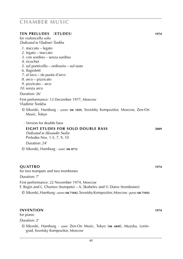#### **TEN PRELUDES** (**ETUDES**) **1974**

for violoncello solo *Dedicated to Vladimir Tonkha 1*. staccato – legato *2*. legato – staccato *3*. con sordino – senza sordino *4*. ricochet *5*. sul ponticello – ordinario – sul tasto *6*. flagioletti *7*. al taco – da punta d'arco *8*. arco – pizzicato *9*. pizzicato – arco *10*. senza arco Duration: 26' First performance: 12 December 1977, Moscow Vladimir Tonkha © Sikorski, Hamburg · *scores:* **sik 1839**, Sovetsky Kompozitor, Moscow, Zen-On Music, Tokyo

· Version for double bass

### **eight etudes for solo double bass 2009**

 *Dedicated to Alexander Suslin* Preludes Nos. 1-5, 7, 9, 10

Duration: 24'

© Sikorski, Hamburg · *score:* **sik 8712**

#### **QUATTRO 1974**

for two trumpets and two trombones Duration: 7' First performance: 22 November 1974, Moscow F. Regin and L. Chumov (trumpets) – A. Skobelev and V. Dutov (trombones) © Sikorski, Hamburg · *scores:* **sik 71042**, Sovetsky Kompozitor, Moscow · *parts:* **sik 71043**

#### **INVENTION 1974**

for piano

Duration: 2'

© Sikorski, Hamburg · *score:* Zen-On Music, Tokyo (**sik 6849**), Muzyka, Leningrad, Sovetsky Kompozitor, Moscow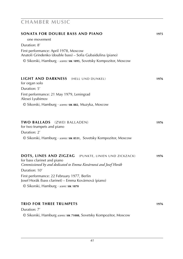| SONATA FOR DOUBLE BASS AND PIANO                                                                                                                                                                            | 1975 |                                                               |      |
|-------------------------------------------------------------------------------------------------------------------------------------------------------------------------------------------------------------|------|---------------------------------------------------------------|------|
| one movement<br>Duration: 8'<br>First performance: April 1978, Moscow<br>Anatoli Grindenko (double bass) - Sofia Gubaidulina (piano)<br>© Sikorski, Hamburg · scores: SIK 1895, Sovetsky Kompozitor, Moscow |      |                                                               |      |
|                                                                                                                                                                                                             |      | <b>LIGHT AND DARKNESS</b> (HELL UND DUNKEL)<br>for organ solo | 1976 |
|                                                                                                                                                                                                             |      | Duration: 5'                                                  |      |
|                                                                                                                                                                                                             |      | First performance: 21 May 1979, Leningrad<br>Alexei Lyubimov  |      |
| © Sikorski, Hamburg · scores: SIK 882, Muzyka, Moscow                                                                                                                                                       |      |                                                               |      |
| TWO BALLADS (ZWEI BALLADEN)<br>for two trumpets and piano                                                                                                                                                   | 1976 |                                                               |      |
| Duration: 2'<br>© Sikorski, Hamburg · scores: SIK 8531, Sovetsky Kompozitor, Moscow                                                                                                                         |      |                                                               |      |
| DOTS, LINES AND ZIGZAG<br>(PUNKTE, LINIEN UND ZICKZACK)<br>for bass clarinet and piano<br>Commissioned by and dedicated to Emma Kovárnová and Josef Horák                                                   | 1976 |                                                               |      |
| Duration: 10'<br>First performance: 22 February 1977, Berlin<br>Josef Horák (bass clarinet) - Emma Kovárnová (piano)<br>© Sikorski, Hamburg · score: SIK 1870                                               |      |                                                               |      |
|                                                                                                                                                                                                             |      |                                                               |      |
|                                                                                                                                                                                                             |      |                                                               |      |
| <b>TRIO FOR THREE TRUMPETS</b>                                                                                                                                                                              | 1976 |                                                               |      |
| Duration: 7'                                                                                                                                                                                                |      |                                                               |      |
| © Sikorski, Hamburg scores: SIK 71008, Sovetsky Kompozitor, Moscow                                                                                                                                          |      |                                                               |      |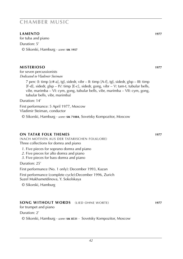**LAMENTO 1977** for tuba and piano Duration: 5' © Sikorski, Hamburg · *score:* **sik 1957**

### **MISTERIOSO 1977**

for seven percussionists *Dedicated to Vladimir Steiman*

> 7 perc (I: timp [c#-a], tgl, sidedr, vibr – II: timp [A-f], tgl, sidedr, glsp – III: timp [F-d], sidedr, glsp – IV: timp [E-c], sidedr, gong, vibr – V: tam-t, tubular bells, vibr, marimba – VI: cym, gong, tubular bells, vibr, marimba – VII: cym, gong, tubular bells, vibr, marimba)

Duration: 14'

First performance: 5 April 1977, Moscow Vladimir Steiman, conductor © Sikorski, Hamburg · *score:* **sik 71084**, Sovetsky Kompozitor, Moscow

### **ON TATAR FOLK THEMES 1977**

(NACH MOTIVEN AUS DER TATARISCHEN FOLKLORE) Three collections for domra and piano

- *1*. Five pieces for soprano domra and piano
- *2*. Five pieces for alto domra and piano
- *3*. Five pieces for bass domra and piano

Duration: 25'

First performance (No. 1 only): December 1993, Kazan

First performance (complete cycle):December 1996, Zurich Suzel Mukhametdinova, Y. Sokolskaya

© Sikorski, Hamburg

### **SONG WITHOUT WORDS** (LIED OHNE WORTE) **1977**

for trumpet and piano

Duration: 2'

© Sikorski, Hamburg · *score:* **sik 8531** · Sovetsky Kompozitor, Moscow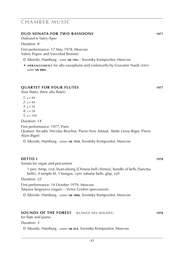### **DUO SONATA for two bassoons 1977**

*Dedicated to Valery Popov*

Duration: 8'

First performance: 17 May 1978, Moscow Valery Popov and Vsevolod Brenner

- © Sikorski, Hamburg · *score:* **sik 1961** · Sovetsky Kompozitor, Moscow
- ► **a r r a n g e m e n t** for alto saxophone and violoncello by Giovanni Nardi (2003) · *score:* **sik 8881**.

### **QUARTET for four flutes 1977**

(four flutes, three alto flutes)

- $1. \, \mathsf{J} = 84$ 2.  $l = 84$  $3. \, \, \frac{1}{2} = 92$
- *4.*  $\sqrt{2} = 58$
- $5 \text{ J} = 100$

Duration: 14'

First performance: 1977, Paris

Quatuor Arcadie (Nicolas Brochot, Pierre-Yves Artaud, Alette Leroy-Biget, Pierre Alain Biget)

© Sikorski, Hamburg · *scores:* **sik 1918**, Sovetsky Kompozitor, Moscow

### **DETTO I 1978**

Sonata for organ and percussion

1 perc (timp, crot, byan-dzung [Chinese bell chimes], bundle of bells [Sanctus bells], 4 temple bl, 5 bongos, cym, tubular bells, glsp, xyl)

Duration: 22'

First performance: 14 October 1979, Moscow Tatyana Sergeyeva (organ) – Victor Grishin (percussion)

© Sikorski, Hamburg · *scores:* **sik 1868**, Sovetsky Kompozitor, Moscow

### **SOUNDS OF THE FOREST** (KLÄNGE DES WALDES) **1978**

for flute and piano

Duration: 3'

© Sikorski, Hamburg · *scores:* **sik 814**, Sovetsky Kompozitor, Moscow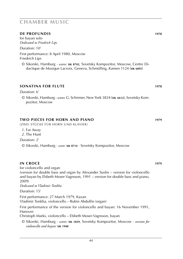### **DE PROFUNDIS 1978**

for bayan solo *Dedicated to Friedrich Lips*

Duration: 10'

First performance: 8 April 1980, Moscow Friedrich Lips

© Sikorski, Hamburg · *scores:* **sik 8742**, Sovetsky Kompozitor, Moscow, Centre Didactique de Musique Lacroix, Geneva, Schmülling, Kamen 1124 (**sik 6895**)

### **SONATINA for flute 1978**

Duration: 6'

© Sikorski, Hamburg · *scores:* G. Schirmer, New York 3824 (**sik 6612**), Sovetsky Kompozitor, Moscow

### **TWO PIECES for horn and piano 1979**

(zwei stücke für horn und klavier)

- *1*. Far Away
- *2*. The Hunt

Duration: 2'

© Sikorski, Hamburg · *score:* **sik 8714** · Sovetsky Kompozitor, Moscow

### **IN CROCE 1979**

for violoncello and organ

(version for double bass and organ by Alexander Suslin – version for violoncello and bayan by Elsbeth Moser-Vagnsson, 1991 – version for double bass and piano, 2009)

*Dedicated to Vladimir Tonkha*

Duration: 15'

First performance: 27 March 1979, Kazan Vladimir Tonkha, violoncello – Rubin Abdullin (organ)

First performance of the version for violoncello and bayan: 16 November 1991, Hanover

Christoph Marks, violoncello – Elsbeth Moser-Vagnsson, bayan

© Sikorski, Hamburg · *scores:* **sik 1829**, Sovetsky Kompozitor, Moscow · *version for violoncello and bayan:* **sik 1940**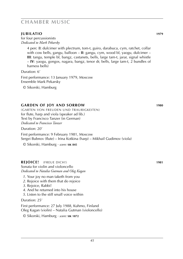### **JUBILATIO 1979**

for four percussionists *Dedicated to Mark Pekarsky*

> 4 perc (**I**: dulcimer with plectrum, tom-t, guiro, darabuca, cym, ratchet, collar with cow bells, gangu, balloon – **II**: gangu, cym, wood bl, yaogu, dulcimer – **III**: tangu, temple bl, bangz, castanets, bells, large tam-t, jarar, signal whistle – **IV**: yaogu, gongos, nagara, bangz, tenor dr, bells, large tam-t, 2 bundles of harness bells)

Duration: 6' First performance: 13 January 1979, Moscow Ensemble Mark Pekarsky

© Sikorski, Hamburg

### **GARDEN OF JOY AND SORROW 1980**

(GARTEN VON FREUDEN UND TRAURIGKEITEN) for flute, harp and viola (speaker ad lib.) Text by Francisco Tanzer (in German) *Dedicated to Francisco Tanzer*

Duration: 20'

First performance: 9 February 1981, Moscow Sergei Bubnov (flute) – Irina Kotkina (harp) – Mikhail Gudimov (viola)

© Sikorski, Hamburg · *score:* **sik 845**

### **REJOICE!** (FREUE DICH!) **1981**

Sonata for violin and violoncello *Dedicated to Natalia Gutman and Oleg Kagan*

- *1*. Your joy no man taketh from you
- *2*. Rejoice with them that do rejoice
- *3*. Rejoice, Rabbi!
- *4*. And he returned into his house
- *5*. Listen to the still small voice within

#### Duration: 25'

First performance: 27 July 1988, Kuhmo, Finland Oleg Kagan (violin) – Natalia Gutman (violoncello)

© Sikorski, Hamburg · *score:* **sik 1872**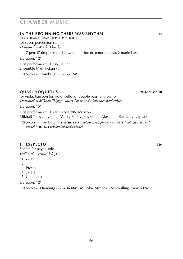### **IN THE BEGINNING THERE WAS RHYTHM 1984**

(IM ANFANG WAR DER RHYTHMUS) for seven percussionists *Dedicated to Mark Pekarsky*

7 perc (7 timp, temple bl, wood bl, side dr, tenor dr, glsp, 2 marimbas)

Duration: 12'

First performance: 1986, Tallinn Ensemble Mark Pekarsky

© Sikorski, Hamburg · *score:* **sik 1867**

### **QUASI HOQUETUS 1984**/**1985**/**2008**

for viola, bassoon (or violoncello, or double bass) and piano *Dedicated to Mikhail Tolpygo, Valery Popov and Alexander Bakhchiyev*

Duration: 15'

First performance: 16 January 1985, Moscow Mikhail Tolpygo (viola) – Valery Popov (bassoon) – Alexander Bakhchiyev (piano)

© Sikorski, Hamburg · *scores:* **sik 1845** *(viola/bassoon/piano)* / **sik 8679** *(viola/double bass/ piano)* / **sik 8678** *(viola/violoncello/piano)*

### **ET EXSPECTO 1986**

Sonata for bayan solo *Dedicated to Friedrich Lips*

- $1. \, \text{J} = 116$
- $2^{\circ}$
- 3. Presto
- 4.  $J = 116$
- 5. Con moto

Duration: 12'

© Sikorski, Hamburg · *scores:* **sik 8743** · Muzyka, Moscow · Schmülling, Kamen 1265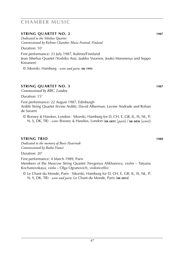### **STRING QUARTET No. 2 1987**

*Dedicated to the Sibelius Quartet Commissioned by Kuhmo Chamber Music Festival, Finland*

Duration: 10'

First performance: 23 July 1987, Kuhmo/Finnland Jean Sibelius Quartet (Yoshiko Arai, Jaakko Vuornos, Jouko Mansnerus and Seppo Kimanen)

© Sikorski, Hamburg · *score and parts:* **sik 1993**

### **STRING QUARTET No. 3 1987**

*Commissioned by BBC, London*

Duration: 15'

First performance: 22 August 1987, Edinburgh Arditti String Quartet (Irvine Arditti, David Alberman, Levine Andrade and Rohan de Saram)

© Boosey & Hawkes, London · Sikorski, Hamburg for D, CH, E, GR, IL, IS, NL, P, N, S, DK, TR) · *score:* Boosey & Hawkes, London (**sik 6835** [*parts*] / **sik 6836** [*score*])

### **string trio 1988**

*Dedicated to the memory of Boris Pasternak Commissioned by Radio France*

Duration: 20'

First performance: 4 March 1989, Paris Members of the Moscow String Quartet (Yevgenya Alikhanova, violin – Tatyana Kochanovskaya, viola – Olga Ogranovich, violoncello)

© Le Chant du Monde, Paris · Sikorski, Hamburg for D, CH, E, GR, IL, IS, NL, P, N, S, DK, TR) · *score and parts:* Le Chant du Monde, Paris (**sik 6832**)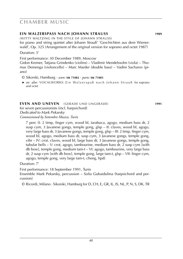### **EIN WALZERSPASS NACH JOHANN STRAUSS 1989**

(WITTY WALTZING IN THE STYLE OF JOHANN STRAUSS)

for piano and string quintet after Johann Strauß' 'Geschichten aus dem Wienerwald', Op. 325 (Arrangement of the original version for soprano and octet 1987) Duration: 5'

First performance: 30 December 1989, Moscow

Gidon Kremer, Tatjana Grindenko (violins) – Vladimir Mendelssohn (viola) – Thomas Demenga (violoncello) – Marc Marder (double bass) – Vadim Sacharov (piano)

- © Sikorski, Hamburg · *score:* **sik 71082** · *parts:* **sik 71083**
- ► *see also*: VOCALWORKS: Ein Walzerspaß nach Johann Strauß for soprano and octet

### **EVEN AND UNEVEN** (GERADE UND UNGERADE) **1991**

for seven percussionists (incl. harpsichord) *Dedicated to Mark Pekarsky Commissioned by Settembre Musica, Turin*

7 perc (I: 2 timp, finger cym, wood bl, tarabuca, agogo, medium bass dr, 2 susp cym, 3 Javanese gongs, temple gong, glsp – II: claves, wood bl, agogo, very large bass dr, 3 Javanese gongs, temple gong, glsp – III: 2 timp, finger cym, wood bl, agogo, medium bass dr, susp cym, 3 Javanese gongs, temple gong, vibr – IV: crot, claves, wood bl, large bass dr, 3 Javanese gongs, temple gong, tubular bells – V: crot, agogo, tambourine, medium bass dr, 2 susp cym [with db bow], temple gong, medium tam-t – VI: agogo, tambourine, very large bass dr, 2 susp cym [with db bow], temple gong, large tam-t, glsp – VII: finger cym, agogo, temple gong, very large tam-t, cheng, hpd)

Duration: 7'

First performance: 18 September 1991, Turin

Ensemble Mark Pekarsky, percussion – Sofia Gubaidulina (harpsichord and percussion)

© Ricordi, Milano · Sikorski, Hamburg for D, CH, E, GR, IL, IS, NL, P, N, S, DK, TR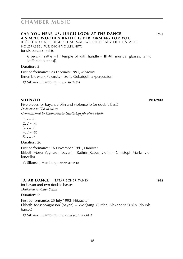(HÖRST DU UNS, LUIGI? SCHAU MAL, WELCHEN TANZ EINE EINFACHE HOLZRASSEL FÜR DICH VOLLFÜHRT) for six percussionists

6 perc (**I**: rattle – **II**: temple bl with handle – **III**-**VI**: musical glasses, tam-t [different pitches])

Duration: 5'

First performance: 23 February 1991, Moscow Ensemble Mark Pekarsky – Sofia Gubaidulina (percussion)

© Sikorski, Hamburg · *score:* **sik 71031**

**SILENZIO 1991**/**2010** Five pieces for bayan, violin and violoncello (or double bass) *Dedicated to Elsbeth Moser Commissioned by Hannoversche Gesellschaft für Neue Musik*

1.  $J = 96$ 

2.  $\sqrt{ } = 147$ 

 $3 \quad J = 56$ 

 $4. b = 152$ 

5.  $J = 72$ 

Duration: 20'

First performance: 16 November 1991, Hanover Elsbeth Moser-Vagnsson (bayan) – Kathrin Rabus (violin) – Christoph Marks (violoncello)

© Sikorski, Hamburg · *score:* **sik 1942**

### **TATAR DANCE** (tatarischer tanz) **1992**

for bayan and two double basses *Dedicated to Viktor Suslin*

Duration: 5'

First performance: 25 July 1992, Hitzacker Elsbeth Moser-Vagnsson (bayan) – Wolfgang Güttler, Alexander Suslin (double basses)

© Sikorski, Hamburg · *score and parts:* **sik 8717**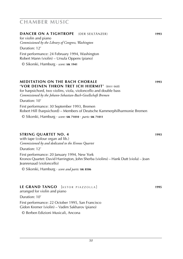### **DANCER ON A TIGHTROPE** (DER SEILTÄNZER) **1993**

for violin and piano *Commissioned by the Library of Congress, Washington*

Duration: 12' First performance: 24 February 1994, Washington Robert Mann (violin) – Ursula Oppens (piano)

© Sikorski, Hamburg · *score:* **sik 1941**

#### **MEDITATION ON THE BACH CHORALE 1993 'VOR DEINEN THRON TRET ICH HIERMIT'** (bwv 668)

for harpsichord, two violins, viola, violoncello and double bass *Commissioned by the Johann-Sebastian-Bach-Gesellschaft Bremen*

Duration: 10'

First performance: 30 September 1993, Bremen Robert Hill (harpsichord) – Members of Deutsche Kammerphilharmonie Bremen

© Sikorski, Hamburg · *score:* **sik 71010** · *parts:* **sik 71011**

### **STRING QUARTET No. 4 1993**

with tape (colour organ ad lib.) *Commissioned by and dedicated to the Kronos Quartet*

Duration: 12'

First performance: 20 January 1994, New York Kronos Quartet: David Harrington, John Sherba (violins) – Hank Dutt (viola) – Joan Jeanrenaud (violoncello)

© Sikorski, Hamburg · *score and parts:* **sik 8506**

### **LE GRAND TANGO** [ASTOR PIAZZOLLA] **1995**

arranged for violin and piano

Duration: 10'

First performance: 22 October 1995, San Francisco Gidon Kremer (violin) – Vadim Sakharov (piano)

© Berben Edizioni Musicali, Ancona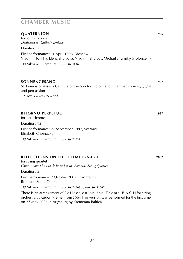### **QUATERNION 1996**

for four violoncelli *Dedicated to Vladimir Tonkha*

Duration: 25' First performance: 11 April 1996, Moscow Vladimir Tonkha, Elena Shulyova, Vladimir Shulyov, Michail Shumsky (violoncelli)

© Sikorski, Hamburg · *score:* **sik 1960**

### **sonnengesang 1997**

St. Francis of Assisi's Canticle of the Sun for violoncello, chamber choir (6/6/6/6) and percussion

 ► *see:* vocal works

### **ritorno perpetuo 1997**

for harpsichord

Duration: 12'

First performance: 27 September 1997, Warsaw Elisabeth Chojnacka

© Sikorski, Hamburg · *score:* **sik 71037**

### **reflections on the theme b-a-c-h 2002**

for string quartet *Commissioned by and dedicated to the Brentano String Quartet*

Duration: 5'

First performance: 2 October 2002, Dartmouth Brentano String Quartet

© Sikorski, Hamburg · *score:* **sik 71006** · *parts:* **sik 71007**

There is an arrangement of  $Reflection$  on the Theme B-A-C-H for string orchestra by Gidon Kremer from 2006. This version was performed for the first time on 27 May 2006 in Augsburg by Kremerata Baltica.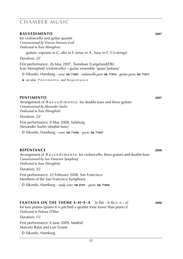#### **ravvedimento 2007**

for violoncello and guitar quartet *Commissioned by Vincens Steensen-Leth Dedicated to Ivan Monighetti*

guitars: soprano in C, alto in F, tenor in A , bass in C (13-strings)

Duration: 25'

First performance: 26 May 2007, Tranekaer (Langeland/DK) Ivan Monighetti (violoncello) – guitar ensemble 'quasi fantasia'

© Sikorski, Hamburg · *score:* **sik 71001** · *violoncello part:* **sik 71016** · *guitar parts:* **sik 71017**

► *see also*: Pentimento and Repentance

#### **pentimento 2007**

Arrangement of R a v v e d i m e n t o for double bass and three guitars *Commissioned by Alexander Suslin Dedicated to Ivan Monighetti*

Duration: 25'

First performance: 8 May 2008, Salzburg Alexander Suslin (double bass)

© Sikorski, Hamburg · *score:* **sik 71046** · *parts:* **sik 71047**

### **repentance 2008**

Arrangement of R a v v e d i m e n t o for violoncello, three guitars and double bass *Commissioned by San Francisco Symphony Dedicated to Ivan Monighetti*

Duration: 25'

First performance: 22 February 2008, San Francisco Members of the San Francisco Symphony

© Sikorski, Hamburg · *study score:* **sik 8781** · *parts:* **sik 71060**

### **FANTASIA ON THE THEME S–H–E–A** [e flat – b flat – e – a] **2008**

for two pianos (piano II is pitched a quarter tone lower than piano I) *Dedicated to Paloma O'Shea*

Duration: 15'

First performance: 6 June 2009, Madrid Marcelo Balat and Luis Grané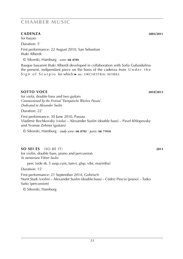### **cadenza 2003/2011**

for bayan

Duration: 5'

First performance: 22 August 2010, San Sebastian Iñaki Alberdi

© Sikorski, Hamburg · *score:* **sik 8789**

Basque bayanist Iñaki Alberdi developed in collaboration with Sofia Gubaidulina the present, indipendant piece on the basis of the cadenza from  $Under the$ Sign of Scorpio for which ► see: ORCHESTRAL WORKS

### **sotto voce 2010**/**2013**

for viola, double bass and two guitars *Commissioned by the Festival 'Europäische Wochen Passau' Dedicated to Alexander Suslin*

Duration: 22'

First performance: 30 June 2010, Passau Vladimir Bochkovsky (viola) – Alexander Suslin (double bass) – Pavel Khlopovsky and Yvonne Zehner (guitars)

© Sikorski, Hamburg · *study score:* **sik 8782** · *parts:* **sik 71018**

### **so sei es** (so be it) **2013**

for violin, double bass, piano and percussion *In memoriam Viktor Suslin*

perc (side dr, 5 susp.cym, tam-t, glsp, vibr, marimba)

Duration: 15'

First performance: 21 September 2014, Gohrisch Nurit Stark (violin) – Alexander Suslin (double bass) – Cédric Pescia (piano) – Taiko Saito (percussion)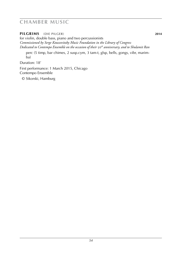**pilgrims** (DIE PILGER) **2014**

for violin, double bass, piano and two percussionists *Commissioned by Serge Koussevitzky Music Foundation in the Library of Congress Dedicated to Contempo Ensemble on the occasion of their* 50*th anniversary, and to Shulamit Ran*

perc (5 timp, bar chimes, 2 susp.cym, 3 tam-t, glsp, bells, gongs, vibr, marimba)

Duration: 18'

First performance: 1 March 2015, Chicago Contempo Ensemble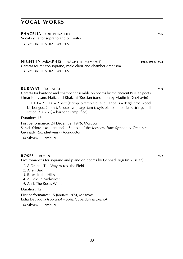**PHACELIA** (DIE PHAZELIE) **1956**

Vocal cycle for soprano and orchestra

 ► *see:* orchestral WORKS

**NIGHT IN MEMPHIS** (NACHT IN MEMPHIS) **1968**/**1988**/**1992** Cantata for mezzo-soprano, male choir and chamber orchestra

 ► *see:* orchestral WORKS

#### **RUBAYAT** (RUBAIJAT) **1969**

Cantata for baritone and chamber ensemble on poems by the ancient Persian poets Omar Khayyám, Hafiz and Khakani (Russian translation by Vladimir Derzhavin)

1.1.1.1 – 2.1.1.0 – 2 perc (**I**: timp, 5 temple bl, tubular bells – **II**: tgl, crot, wood bl, bongos, 2 tom-t, 3 susp cym, large tam-t, xyl). piano (amplified). strings (full set or 1/1/1/1/1) – baritone (amplified)

Duration: 15'

First performance: 24 December 1976, Moscow Sergei Yakovenko (baritone) – Soloists of the Moscow State Symphony Orchestra – Gennady Rozhdestvensky (conductor)

© Sikorski, Hamburg

### **ROSES** (rosen) **1972**

Five romances for soprano and piano on poems by Gennadi Aigi (in Russian)

- *1*. A Dream: The Way Across the Field
- *2*. Alien Bird
- *3*. Roses in the Hills
- *4*. A Field in Midwinter
- *5*. And: The Roses Wither

Duration: 12'

First performance: 15 January 1974, Moscow Lidia Davydova (soprano) – Sofia Gubaidulina (piano)

© Sikorski, Hamburg

*55*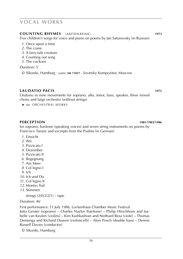#### **COUNTING RHYMES** (ABZÄHLREIME) **1973**

Five children's songs for voice and piano on poems by Jan Satunovsky (in Russian)

- *1*. Once upon a time
- *2*. The crane
- *3*. A fairy-tale creature
- *4*. Counting out song
- *5*. The cuckoos

Duration: 5'

© Sikorski, Hamburg · *scores:* **sik 71057** · Sovetsky Kompozitor, Moscow

### **LAUDATIO PACIS 1975**

Oratorio in nine movements for soprano, alto, tenor, bass, speaker, three mixed choirs and large orchestra (without strings)

 ► *see:* ORCHESTRAL WORKS

#### **PERCEPTION 1981**/**1983**/**1986**

for soprano, baritone (speaking voices) and seven string instruments on poems by Francisco Tanzer and excerpts from the Psalms (in German)

- *1*. Einsicht
- *2*. Wir
- *3*. Pizzicato I
- *4*. Dezember
- *5*. Pizzicato II
- *6*. Begegnung
- *7*. Am Meer
- *8*. Col legno I
- *9*. Ich
- *10*. Ich und Du
- *11*. Col legno II
- *12*. Montys Tod
- *13*. Stimmen

strings (2/0/2/2/1) – tape

Duration: 46'

First performance: 11 July 1986, Lockenhaus Chamber Music Festival

Jutta Geister (soprano) – Charles Naylor (baritone) – Philip Hirschhorn and Isabelle van Keulen (violins) – Kim Kashkashian and Neithard Resa (viole) – Thomas Demenga and Richard Duwen (violoncelli) – Alois Posch (double bass) – Dennis Russell Davies (conductor)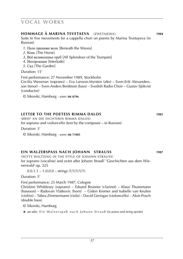### **HOMMAGE à MARINA TSVETAEVA** (ZWETAJEWA) **1984**

Suite in five movements for a cappella choir on poems by Marina Tsvetayeva (in Russian)

- *1*. Пало прениже волн [Beneath the Waves]
- *2*. Конь [The Horse]
- *3*. Всё великолепье труб [All Splendour of the Trumpets]
- *4*. Интерлюдия [Interlude]
- *5*. Сад [The Garden]

Duration: 15'

First performance: 27 November 1989, Stockholm

Cecilia Wessman (soprano) – Eva Larsson-Myrsten (alto) – Sven-Erik Alexandersson (tenor) – Sven-Anders Benktson (bass) – Svedish Radio Choir – Gustav Sjökvist (conductor)

© Sikorski, Hamburg · *score:* **sik 8796**

### **LETTER TO THE POETESS RIMMA DALOS 1985**

(BRIEF AN DIE DICHTERIN RIMMA DALOS)

for soprano and violoncello (text by the composer – in Russian)

Duration: 3'

© Sikorski, Hamburg · *score:* **sik 71005**

### **EIN WALZERSPASS NACH JOHANN STRAUSS 1987**

(WITTY WALTZING IN THE STYLE OF JOHANN STRAUSS) for soprano (vocalise) and octet after Johann Strauß' 'Geschichten aus dem Wienerwald' op. 325

 $0.0.1.1 - 1.0.0.0 - \text{strings} (1/1/1/1/1)$ 

Duration: 5'

First performance: 25 March 1987, Cologne

Christine Whittlesey (soprano) – Eduard Brunner (clarinet) – Klaus Thunemann (bassoon) – Radovan Vlatkovic (horn) – Gidon Kremer and Isabelle van Keulen (violins) – Tabea Zimmermann (viola) – David Geringas (violoncello) – Alois Posch (double bass)

© Sikorski, Hamburg

► *see also:* Ein Walzerspaß nach Johann Strauß for piano and string quintet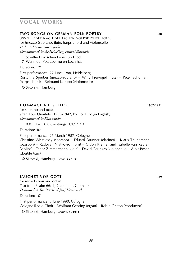### **TWO SONGS ON GERMAN FOLK POETRY 1988**

(ZWEI LIEDER NACH DEUTSCHEN VOLKSDICHTUNGEN) for (mezzo-)soprano, flute, harpsichord and violoncello *Dedicated to Roswitha Sperber Commissioned by the Heidelberg Festival Ensemble*

*1*. Streitlied zwischen Leben und Tod

*2*. Wenn der Pott aber nu en Loch hat

#### Duration: 12'

First performance: 22 June 1988, Heidelberg Roswitha Sperber (mezzo-soprano) – Willy Freivogel (flute) – Peter Schumann (harpsichord) – Reimund Korupp (violoncello)

© Sikorski, Hamburg

### **HOMMAGE À T. S. Eliot 1987**/**1991**

for soprano and octet after 'Four Quartets' (1936-1942) by T.S. Eliot (in English) *Commissioned by Köln Musik*

 $0.0.1.1 - 1.0.0.0 - \text{strings} (1/1/1/1/1)$ 

Duration: 40'

First performance: 25 March 1987, Cologne

Christine Whittlesey (soprano) – Eduard Brunner (clarinet) – Klaus Thunemann (bassoon) – Radovan Vlatkovic (horn) – Gidon Kremer and Isabelle van Keulen (violins) – Tabea Zimmermann (viola) – David Geringas (violoncello) – Alois Posch (double bass)

© Sikorski, Hamburg · *score:* **sik 1853**

### **JAUCHZT VOR GOTT 1989**

for mixed choir and organ Text from Psalm 66: 1, 2 and 4 (in German) *Dedicated to The Reverend Josef Herowitsch*

Duration: 10'

First performance: 8 June 1990, Cologne Cologne Radio Choir – Wolfram Gehring (organ) – Robin Gritton (conductor) © Sikorski, Hamburg · *score:* **sik 71053**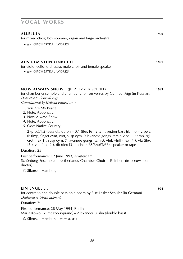| <b>ALLELUIA</b>                                                                         | 1990 |
|-----------------------------------------------------------------------------------------|------|
| for mixed choir, boy soprano, organ and large orchestra                                 |      |
| ▶ see: ORCHESTRAL WORKS                                                                 |      |
|                                                                                         |      |
| <b>AUS DEM STUNDENBUCH</b><br>for violoncello, orchestra, male choir and female speaker | 1991 |
| ► see: ORCHESTRAL WORKS                                                                 |      |
| <b>NOW ALWAYS SNOW</b> (JETZT IMMER SCHNEE)                                             | 1993 |
| for chamber ensemble and chamber choir on verses by Gennadi Aigi (in Russian)           |      |
| Dedicated to Gennadi Aigi                                                               |      |
| Commissioned by Holland Festival 1993                                                   |      |

- *1*. You Are My Peace
- *2*. Note: Apophatic
- *3*. Now Always Snow
- *4*. Note: Apophatic
- *5*. Ode: Native Country

2 (picc).1.2 (bass cl). db bn – 0,1 (flex [6]).2(ten trbn,ten-bass trbn).0 – 2 perc (I: timp, finger cym, crot, susp cym, 9 Javanese gongs, tam-t, vibr – II: timp, tgl, crot, flex[1], susp cym, 7 Javanese gongs, tam-t). vlnI. vlnII (flex [4]). vla (flex [5]). vlc (flex  $[2]$ ). db (flex  $[3]$ ) – choir (6S/6A/6T/6B). speaker or tape

Duration: 25'

First performance: 12 June 1993, Amsterdam Schönberg Ensemble – Netherlands Chamber Choir – Reinbert de Leeuw (conductor)

© Sikorski, Hamburg

#### **ein engel ... 1994**

for contralto and double bass on a poem by Else Lasker-Schüler (in German) *Dedicated to Ulrich Eckhardt*

Duration: 7'

First performance: 28 May 1994, Berlin Maria Kowollik (mezzo-soprano) – Alexander Suslin (double bass)

© Sikorski, Hamburg · *score:* **sik 830**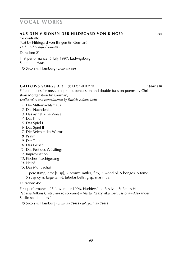#### **aus den Visionen DER hildegard von bingen 1994**

for contralto Text by Hildegard von Bingen (in German) *Dedicated to Alfred Schnittke*

Duration: 2'

First performance: 6 July 1997, Ludwigsburg Stephanie Haas

© Sikorski, Hamburg · *score:* **sik 830**

### **gallows songs a 3** (GALGENLIEDER) **1996**/**1998**

Fifteen pieces for mezzo-soprano, percussion and double bass on poems by Christian Morgenstern (in German) *Dedicated to and commissioned by Patricia Adkins Chiti*

- *1*. Die Mitternachtsmaus
- *2*. Das Nachdenken
- *3*. Das ästhetische Wiesel
- *4*. Das Knie
- *5*. Das Spiel I
- *6*. Das Spiel II
- *7*. Die Beichte des Wurms
- *8*. Psalm
- *9*. Der Tanz
- *10*. Das Gebet
- *11*. Das Fest des Wüstlings
- *12*. Improvisation
- *13*. Fisches Nachtgesang
- *14*. Nein!
- *15*. Das Mondschaf

1 perc (timp, crot [susp], 2 bronze rattles, flex, 3 wood bl, 5 bongos, 5 tom-t, 5 susp cym, large tam-t, tubular bells, glsp, marimba)

### Duration: 45'

First performance: 25 November 1996, Huddersfield Festival, St Paul's Hall Patricia Adkins Chiti (mezzo soprano) – Marta Ptaszyńska (percussion) – Alexander Suslin (double bass)

© Sikorski, Hamburg · *score:* **sik 71012** · *solo part:* **sik 71013**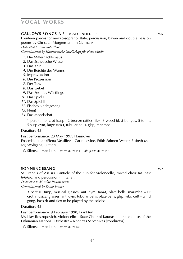#### **gallows songs a 5** (GALGENLIEDER) **1996**

Fourteen pieces for mezzo-soprano, flute, percussion, bayan and double bass on poems by Christian Morgenstern (in German)

*Dedicated to Ensemble 'that'*

*Commissioned by Hannoversche Gesellschaft für Neue Musik*

- *1*. Die Mitternachtsmaus
- *2*. Das ästhetische Wiesel
- *3*. Das Knie
- *4*. Die Beichte des Wurms
- *5*. Improvisation
- *6*. Die Prozession
- *7*. Der Tanz
- *8*. Das Gebet
- *9*. Das Fest des Wüstlings
- *10*. Das Spiel I
- *11*. Das Spiel II
- *12*. Fisches Nachtgesang
- *13*. Nein!
- *14*. Das Mondschaf

1 perc (timp, crot [susp], 2 bronze rattles, flex, 3 wood bl, 5 bongos, 5 tom-t, 5 susp cym, large tam-t, tubular bells, glsp, marimba)

Duration: 45'

First performance: 23 May 1997, Hannover

Ensemble 'that' (Elena Vassilieva, Carin Levine, Edith Salmen-Weber, Elsbeth Moser, Wolfgang Güttler)

© Sikorski, Hamburg · *score:* **sik 71014** · *solo part:* **sik 71015**

### **sonnengesang 1997**

St. Francis of Assisi's Canticle of the Sun for violoncello, mixed choir (at least 6/6/6/6) and percussion (in Italian) *Dedicated to Mstislav Rostropovich Commissioned by Radio France*

3 perc (**I**: timp, musical glasses, ant. cym, tam-t, plate bells, marimba – **II**: crot, musical glasses, ant. cym, tubular bells, plate bells, glsp, vibr, cel) – wind gong, bass dr and flex to be played by the soloist

Duration: 43'

First performance: 9 February 1998, Frankfurt Mstislav Rostropovich, violoncello – State Choir of Kaunas – percussionists of the Lithuanian National Orchestra – Robertas Servenikas (conductor)

© Sikorski, Hamburg · *score:* **sik 71040**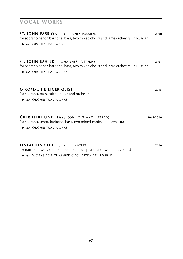| ST. JOHN PASSION (JOHANNES-PASSION)<br>for soprano, tenor, baritone, bass, two mixed choirs and large orchestra (in Russian)<br>► see: ORCHESTRAL WORKS | 2000      |
|---------------------------------------------------------------------------------------------------------------------------------------------------------|-----------|
| ST. JOHN EASTER (JOHANNES OSTERN)<br>for soprano, tenor, baritone, bass, two mixed choirs and large orchestra (in Russian)<br>▶ see: ORCHESTRAL WORKS   | 2001      |
| O KOMM, HEILIGER GEIST<br>for soprano, bass, mixed choir and orchestra<br>► see: ORCHESTRAL WORKS                                                       | 2015      |
| <b>ÜBER LIEBE UND HASS</b> (ON LOVE AND HATRED)<br>for soprano, tenor, baritone, bass, two mixed choirs and orchestra<br>► see: ORCHESTRAL WORKS        | 2015/2016 |
| <b>EINFACHES GEBET</b> (SIMPLE PRAYER)<br>for narrator, two violoncelli, double bass, piano and two percussionists                                      | 2016      |

 ► *see:* works for chamber orchestra / ensemble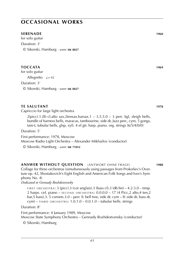### **occasional works**

### **SERENADE** 1960

for solo guitar Duration: 3' © Sikorski, Hamburg · *score:* **sik 8827**

### **TOCCATA 1969**

for solo guitar

Allegretto  $J = 92$ 

Duration: 3'

© Sikorski, Hamburg · *score:* **sik 8827**

### **TE SALUTANT 1978**

Capriccio for large light orchestra

 $2(picc).1.Eb$  cl.alto sax.2tensax.barsax.1 –  $3.5.5.0 - 3$  perc (tgl, sleigh bells, bundle of harness bells, maracas, tambourine, side dr, Jazz perc, cym, 5 gongs, tam-t, tubular bells, glsp, xyl). 4 el gtr. harp. piano. org. strings (6/5/4/0/0)

Duration: 5'

First performance: 1978, Moscow Moscow Radio Light Orchestra – Alexander Mikhailov (conductor)

© Sikorski, Hamburg · *score:* **sik 71052**

### **ANSWER WITHOUT QUESTION** (ANTWORT OHNE FRAGE) **1988**

Collage for three orchestras (simultaneously using passages from Prokofiev's Overture op. 42, Shostakovich's Eight English and American Folk Songs and Ives's Symphony No. 4)

*Dedicated to Gennady Rozhdestvensky*

FIRST ORCHESTRA: 3 (picc).3 (cor anglais).3 (bass cl).3 (db bn) –  $4.2.3.0 - timp$ . 2 harps. cel. piano –  $s$ ECOND ORCHESTRA:  $0.0.0.0 - 17$  (4 Picc,2 alto,4 ten,2 bar,5 bass).3. 5 cornets.3.0 – perc (I: bell tree, side dr, cym – II: side dr, bass dr,  $cym$ ) – THIRD ORCHESTRA:  $1.0.1.0 - 0.0.1.0$  – tubular bells. strings

Duration: 8'

First performance: 4 January 1989, Moscow

Moscow State Symphony Orchestra – Gennady Rozhdestvensky (conductor)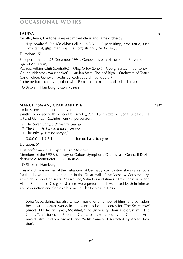### **occasional works**

### **LAUDA 1991**

for alto, tenor, baritone, speaker, mixed choir and large orchestra

4 (picc/alto fl).0.4 (*Eb* cl/bass cl).2 – 4.3.3.1 – 6 perc (timp, crot, rattle, susp cym, tam-t, glsp, marimba). cel. org. strings (16/16/12/8/8)

Duration: 15'

First performance: 27 December 1991, Genova (as part of the ballet 'Prayer for the Age of Aquarius')

Patricia Adkins Chiti (contralto) – Oleg Orlov (tenor) – Georgi Sastavni (baritone) – Galina Vishnevskaya (speaker) – Latvian State Choir of Riga – Orchestra of Teatro Carlo Felice, Genova – Mstislav Rostropovich (conductor)

(to be performed only together with  $Pro$  et contra and Alleluja)

© Sikorski, Hamburg · *score:* **sik 71051**

### **march 'swan, crab and pike' 1982**

for brass ensemble and percussion

jointly composed with Edison Denisov (1), Alfred Schnittke (2), Sofia Gubaidulina (3) and Gennadi Rozhdestvensky (percussion)

- *1*. The Swan *Tempo di marcia attacca*
- *2*. The Crab *[L*'*istesso tempo] attacca*
- *3*. The Pike *[L*'*istesso tempo]*

 $0.0.0.0 - 4.3.3.1$  – perc (timp, side dr, bass dr, cym)

Duration: 5'

First performance: 15 April 1982, Moscow Members of the USSR Ministry of Culture Symphony Orchestra – Gennadi Rozhdestvensky (conductor) · *score:* **sik 8869**

© Sikorski, Hamburg

This March was written at the instigation of Gennady Rozhdestvensky as an encore for the above mentioned concert in the Great Hall of the Moscow Conservatory, at which Edison Denisov's Peinture, Sofia Gubaidulina's Offertorium and Alfred Schnittke's Gogol Suite were performed. It was used by Schnittke as an introduction and finale of his ballet S k e t c h e s in 1985.

Sofia Gubaidulina has also written music for a number of films. She considers her most important works in this genre to be the scores for 'The Scarecrow' (directed by Rolan Bykov, Mosfilm), 'The University Chair' (Belorusfilm), 'The Circus Tent', based on Federico García Lorca (directed by Ida Garanina, Animated Film Studio Moscow), and 'Veliki Samoyed' (directed by Arkadi Kordon).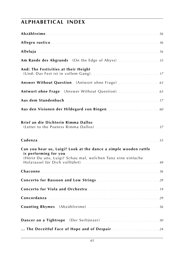| Am Rande des Abgrunds (On the Edge of Abyss)  33                                                                                                         |
|----------------------------------------------------------------------------------------------------------------------------------------------------------|
| And: The Festivities at their Height                                                                                                                     |
| Answer Without Question (Antwort ohne Frage)  63                                                                                                         |
| Antwort ohne Frage (Answer Without Question)  63                                                                                                         |
|                                                                                                                                                          |
|                                                                                                                                                          |
| Brief an die Dichterin Rimma Dallos                                                                                                                      |
|                                                                                                                                                          |
| Can you hear us, Luigi? Look at the dance a simple wooden rattle<br>is performing for you<br>(Hörst Du uns, Luigi? Schau mal, welchen Tanz eine einfache |
|                                                                                                                                                          |
|                                                                                                                                                          |
|                                                                                                                                                          |
|                                                                                                                                                          |
|                                                                                                                                                          |
| Dancer on a Tightrope (Der Seiltänzer) 50                                                                                                                |
| The Deceitful Face of Hope and of Despair. 24                                                                                                            |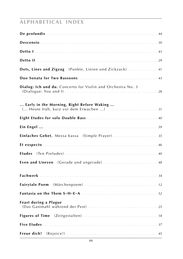| Dots, Lines and Zigzag (Punkte, Linien und Zickzack) 41     |
|-------------------------------------------------------------|
|                                                             |
| Dialog: Ich und du. Concerto for Violin and Orchestra No. 3 |
| Early in the Morning, Right Before Waking                   |
|                                                             |
|                                                             |
| Einfaches Gebet. Messa bassa (Simple Prayer) 35             |
|                                                             |
|                                                             |
| Even and Uneven (Gerade und ungerade) 48                    |
|                                                             |
| Fairytale Poem (Märchenpoem)  12                            |
|                                                             |
| <b>Feast during a Plague</b>                                |
|                                                             |
|                                                             |
| Freue dich!                                                 |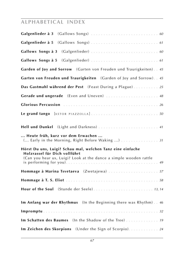| Garden of Joy and Sorrow (Garten von Freuden und Traurigkeiten). . 45                                                                                            |
|------------------------------------------------------------------------------------------------------------------------------------------------------------------|
| Garten von Freuden und Traurigkeiten (Garden of Joy and Sorrow). 45                                                                                              |
| Das Gastmahl während der Pest (Feast During a Plague) 25                                                                                                         |
| Gerade und ungerade (Even and Uneven)  48                                                                                                                        |
|                                                                                                                                                                  |
|                                                                                                                                                                  |
| Hell und Dunkel (Light and Darkness)  41                                                                                                                         |
| Heute früh, kurz vor dem Erwachen<br>( Early in the Morning, Right Before Waking ) 31                                                                            |
| Hörst Du uns, Luigi? Schau mal, welchen Tanz eine einfache<br>Holzrassel für Dich vollführt<br>(Can you hear us, Luigi? Look at the dance a simple wooden rattle |
| Hommage à Marina Tsvetaeva (Zwetajewa) 57                                                                                                                        |
|                                                                                                                                                                  |
|                                                                                                                                                                  |
| Im Anfang war der Rhythmus (In the Beginning there was Rhythm) 46                                                                                                |
|                                                                                                                                                                  |
| Im Schatten des Baumes (In the Shadow of the Tree) 19                                                                                                            |
| Im Zeichen des Skorpions (Under the Sign of Scorpio).  24                                                                                                        |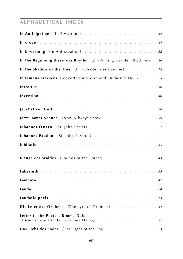| In the Beginning there was Rhythm (Im Anfang war der Rhythmus). 46           |
|------------------------------------------------------------------------------|
| In the Shadow of the Tree (Im Schatten des Baumes) 19                        |
| In tempus praesens. Concerto for Violin and Orchestra No. 2  25              |
|                                                                              |
|                                                                              |
|                                                                              |
|                                                                              |
|                                                                              |
|                                                                              |
|                                                                              |
|                                                                              |
|                                                                              |
|                                                                              |
|                                                                              |
|                                                                              |
|                                                                              |
|                                                                              |
| Die Leier des Orpheus (The Lyre of Orpheus)  34                              |
| Letter to the Poetess Rimma Dalos<br>(Brief an die Dichterin Rimma Dalos) 57 |
|                                                                              |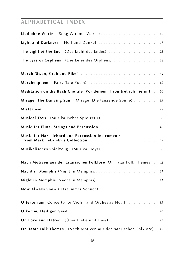| Lied ohne Worte (Song Without Words)  42                              |
|-----------------------------------------------------------------------|
| Light and Darkness (Hell und Dunkel) 41                               |
| The Light of the End (Das Licht des Endes)  23                        |
| The Lyre of Orpheus (Die Leier des Orpheus)  34                       |
|                                                                       |
| Märchenpoem (Fairy-Tale Poem)  12                                     |
| Meditation on the Bach Chorale 'Vor deinen Thron tret ich hiermit' 50 |
| Mirage: The Dancing Sun (Mirage: Die tanzende Sonne)  33              |
|                                                                       |
| Musical Toys (Musikalisches Spielzeug) 38                             |
|                                                                       |
| Music for Harpsichord and Percussion Instruments                      |
| Musikalisches Spielzeug (Musical Toys)38                              |
| Nach Motiven aus der tatarischen Folklore (On Tatar Folk Themes) 42   |
|                                                                       |
|                                                                       |
| Now Always Snow (Jetzt immer Schnee) 59                               |
| Offertorium. Concerto for Violin and Orchestra No. 1. 15              |
|                                                                       |
| On Love and Hatred (Über Liebe und Hass) 27                           |
| On Tatar Folk Themes (Nach Motiven aus der tatarischen Folklore). 42  |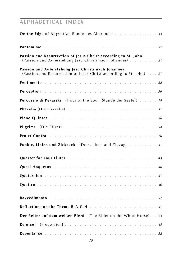| On the Edge of Abyss (Am Rande des Abgrunds)  33                                                                            |
|-----------------------------------------------------------------------------------------------------------------------------|
|                                                                                                                             |
| Passion and Resurrection of Jesus Christ according to St. John<br>(Passion und Auferstehung Jesu Christi nach Johannes)  21 |
| Passion und Auferstehung Jesu Christi nach Johannes<br>(Passion and Resurrection of Jesus Christ according to St. John)  21 |
|                                                                                                                             |
|                                                                                                                             |
| Percussio di Pekarski (Hour of the Soul [Stunde der Seele]). 14                                                             |
|                                                                                                                             |
|                                                                                                                             |
|                                                                                                                             |
|                                                                                                                             |
| Punkte, Linien und Zickzack (Dots, Lines and Zigzag) 41                                                                     |
|                                                                                                                             |
|                                                                                                                             |
|                                                                                                                             |
|                                                                                                                             |
|                                                                                                                             |
|                                                                                                                             |
| Der Reiter auf dem weißen Pferd (The Rider on the White Horse) 23                                                           |
| <b>Rejoice!</b>                                                                                                             |
|                                                                                                                             |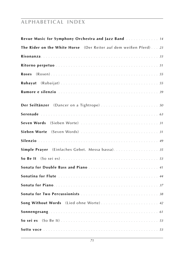| Revue Music for Symphony Orchestra and Jazz Band  14              |
|-------------------------------------------------------------------|
| The Rider on the White Horse (Der Reiter auf dem weißen Pferd) 23 |
|                                                                   |
|                                                                   |
| Roses                                                             |
|                                                                   |
|                                                                   |
| Der Seiltänzer (Dancer on a Tightrope)  50                        |
|                                                                   |
|                                                                   |
|                                                                   |
|                                                                   |
| Simple Prayer (Einfaches Gebet. Messa bassa). 35                  |
|                                                                   |
|                                                                   |
|                                                                   |
|                                                                   |
|                                                                   |
| Song Without Words (Lied ohne Worte) 42                           |
|                                                                   |
|                                                                   |
|                                                                   |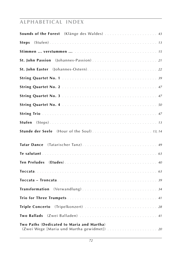| Sounds of the Forest (Klänge des Waldes)  43                                             |
|------------------------------------------------------------------------------------------|
| <b>Steps</b>                                                                             |
|                                                                                          |
| St. John Passion (Johannes-Passion) 21                                                   |
|                                                                                          |
|                                                                                          |
|                                                                                          |
|                                                                                          |
|                                                                                          |
|                                                                                          |
| Stufen                                                                                   |
|                                                                                          |
| (Tatarischer Tanz) 49<br><b>Tatar Dance</b>                                              |
|                                                                                          |
|                                                                                          |
|                                                                                          |
|                                                                                          |
|                                                                                          |
|                                                                                          |
| Triple Concerto (Tripelkonzert)  28                                                      |
| (Zwei Balladen)  41<br><b>Two Ballads</b>                                                |
| Two Paths (Dedicated to Maria and Martha)<br>(Zwei Wege [Maria und Martha gewidmet])  20 |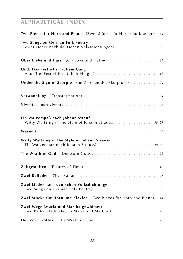| Two Pieces for Horn and Piano (Zwei Stücke für Horn und Klavier). 44                          |
|-----------------------------------------------------------------------------------------------|
| Two Songs on German Folk Poetry<br>(Zwei Lieder nach deutschen Volksdichtungen)  58           |
|                                                                                               |
| Und: Das Fest ist in vollem Gang                                                              |
| Under the Sign of Scorpio (Im Zeichen des Skorpions)  24                                      |
|                                                                                               |
|                                                                                               |
| Ein Walzerspaß nach Johann Strauß<br>(Witty Waltzing in the Style of Johann Strauss). 48, 57  |
|                                                                                               |
| Witty Waltzing in the Style of Johann Strauss<br>(Ein Walzerspaß nach Johann Strauss)  48, 57 |
| The Wrath of God (Der Zorn Gottes)  28                                                        |
|                                                                                               |
|                                                                                               |
| Zwei Lieder nach deutschen Volksdichtungen                                                    |
| Zwei Stücke für Horn und Klavier (Two Pieces for Horn and Piano) . 44                         |
| Zwei Wege (Maria und Martha gewidmet)<br>(Two Paths [Dedicated to Maria and Martha]). 20      |
| Der Zorn Gottes (The Wrath of God)  28                                                        |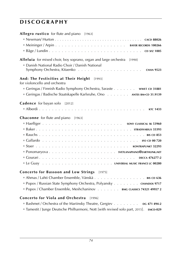# **d i s c o g r a p h y**

| Allegro rustico for flute and piano [1963]                                                                                      |
|---------------------------------------------------------------------------------------------------------------------------------|
|                                                                                                                                 |
|                                                                                                                                 |
|                                                                                                                                 |
| <b>Alleluia</b> for mixed choir, boy soprano, organ and large orchestra [1990]<br>Danish National Radio Choir / Danish National |
| And: The Festivities at Their Height [1993]<br>for violoncello and orchestra                                                    |
| Geringas / Finnish Radio Symphony Orchestra, Saraste wwe1 cp 31881                                                              |
| Geringas / Badische Staatskapelle Karlsruhe, Ono ANTES BM-CD 31.9139                                                            |
| <b>Cadence</b> for bayan solo [2012]                                                                                            |
|                                                                                                                                 |
| <b>Chaconne</b> for flute and piano [1963]                                                                                      |
|                                                                                                                                 |
|                                                                                                                                 |
|                                                                                                                                 |
|                                                                                                                                 |
|                                                                                                                                 |
|                                                                                                                                 |
|                                                                                                                                 |
|                                                                                                                                 |
| Concerto for Bassoon and Low Strings [1975]                                                                                     |
| Ahmas / Lahti Chamber Ensemble, Vänskä BIS CD 636                                                                               |
| Popov / Russian State Symphony Orchestra, Polyansky CHANDOS 9717                                                                |
| Popov / Chamber Ensemble, Meshchaninov BMG CLASSICS 74321 49957 2                                                               |

### **Concerto for Viola and Orchestra** [1996]

| <b>Bashmet / Orchestra of the Mariinsky Theatre, Gergiev</b> $\ldots$ $\ldots$         | DG 471 494-2 |
|----------------------------------------------------------------------------------------|--------------|
| ■ Tamestit / Junge Deutsche Philharmoni, Nott [with revised solo part, 2015]. EMCD-029 |              |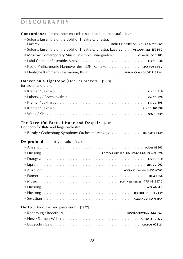#### **Concordanza** for chamber ensemble (or chamber orchestra) [1971]

| • Soloists Ensemble of the Bolshoi Theatre Orchestra,                             |
|-----------------------------------------------------------------------------------|
|                                                                                   |
| Soloists Ensemble of the Bolshoi Theatre Orchestra, Lazarev . MELODIA MEL 45014-2 |
| • Moscow Contemporary Music Ensemble, Vinogradov oLYMPIA OCD 283                  |
|                                                                                   |
| <b>Exadio-Philharmonie Hannover des NDR, Kalitzke . 099 164-2</b>                 |
| Deutsche Kammerphilharmonie, Klug BERLIN CLASSICS 0011132 BC                      |

### **Dancer on a Tightrope** (Der Seiltänzer) **[**1993]

for violin and piano

### **The Deceitful Face of Hope and Despair [**2005]

Concerto for flute and large orchestra

|  | ■ Bezaly / Gothenburg Symphony Orchestra, Venzago | <b>BIS SACD 1449</b> |
|--|---------------------------------------------------|----------------------|
|  |                                                   |                      |

#### **De profundis** for bayan solo [1978]

| <b>HUSSONG</b> EDITION MICHAEL FRAUENLOB BAUER MFB 026     |
|------------------------------------------------------------|
|                                                            |
|                                                            |
|                                                            |
|                                                            |
|                                                            |
|                                                            |
|                                                            |
|                                                            |
| <b>Detto I</b> for organ and percussion [1977]             |
| $R$ oderburg / Roderburg<br>$VOCH$ - $CCHM/ANN$ $3-6705-2$ |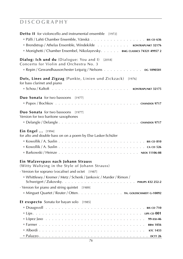| <b>Detto II</b> for violoncello and instrumental ensemble [1972]                                |
|-------------------------------------------------------------------------------------------------|
|                                                                                                 |
| Brendstrup / Athelas Ensemble, Windekilde KONTRAPUNKT 32176                                     |
| Monighetti / Chamber Ensembel, Nikolayevsky. BMG CLASSICS 74321 49957 2                         |
| Dialog: Ich und du (Dialogue: You and I)<br>$[2018]$<br>Concerto for Violin and Orchestra No. 3 |
| Repin / Gewandhausorchester Leipzig / Nelsons DG 1090501                                        |
| Dots, Lines and Zigzag (Punkte, Linien und Zickzack) [1976]<br>for bass clarinet and piano      |
|                                                                                                 |
| Duo Sonata for two bassoons [1977]                                                              |
|                                                                                                 |
|                                                                                                 |
| <b>Duo Sonata</b> for two bassoons [1977]<br>Version for two baritone saxophones                |
|                                                                                                 |
|                                                                                                 |
| <b>Ein Engel</b> [1994]                                                                         |
| for alto and double bass on on a poem by Else Lasker-Schüler                                    |
|                                                                                                 |
|                                                                                                 |
|                                                                                                 |
| Ein Walzerspass nach Johann Strauss<br>(Witty Waltzing in the Style of Johann Strauss)          |
| · Version for soprano (vocalise) and octet [1987]                                               |
| ■ Whittlesey / Kremer / Metz / Schenk / Jankovic / Marder / Rimon /                             |
|                                                                                                 |
| · Version for piano and string quintet [1989]                                                   |
| Minguet Quartet / Reuter / Otten. TH. GOLDSCHMIDT G-10092                                       |
| <b>Et exspecto</b> Sonata for bayan solo [1985]                                                 |
|                                                                                                 |
|                                                                                                 |
|                                                                                                 |
|                                                                                                 |
|                                                                                                 |
|                                                                                                 |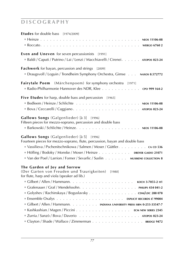| <b>Etudes</b> for double bass [1974/2009]                                         |
|-----------------------------------------------------------------------------------|
| <b>NEOS 11106-08</b>                                                              |
|                                                                                   |
| <b>Even and Uneven</b> for seven percussionists [1991]                            |
| Baldi / Caputi / Putrino / Lai / Lenzi / Macchiavelli / Cirenei. ATOPOS 023-24    |
| Fachwerk for bayan, percussion and strings<br>[2009]                              |
| Draugsvoll / Loguin / Trondheim Symphony Orchestra, Gimse NAXOS 8.572772          |
| Fairytale Poem (Märchenpoem) for symphony orchestra [1971]                        |
| Radio-Philharmonie Hannover des NDR, Klee CPO 999 164-2                           |
| Five Etudes for harp, double bass and percussion [1965]                           |
|                                                                                   |
|                                                                                   |
| Gallows Songs (Galgenlieder) [à 3] [1996]                                         |
| Fifteen pieces for mezzo-soprano, percussion and double bass                      |
|                                                                                   |
| Gallows Songs (Galgenlieder) [à 5] [1996]                                         |
| Fourteen pieces for mezzo-soprano, flute, percussion, bayan and double bass       |
| Vassilieva / Pschenitschnikowa / Salmen / Moser / Güttler. ca cD 536              |
| Höfling / Bodoky / Monske / Moser / Heinze DREYER GAIDO 21071                     |
| Van der Poel / Larrion / Forner / Sevarlic / Suslin MUSIKENE COLLECTION 8         |
| The Garden of Joy and Sorrow<br>(Der Garten von Freuden und Traurigkeiten) [1980] |
| for flute, harp and viola (speaker ad lib.)                                       |
|                                                                                   |
| Grafenauer / Graf / Mendelssohn. PHILIPS 434 041-2                                |
| Golyshev / Rachinskaya / Boguslavsky CDM/LDC 288 078                              |
|                                                                                   |
| Gilbert / Allen / Hammann. INDIANA UNIVERSITY PRESS ISBN 0-253-33547-7            |
| Kashkashian / Magen / Piccini ECM NEW SERIES 2345                                 |
|                                                                                   |
| Clayton / Shade / Wallace / Zimmerman BRIDGE 9472                                 |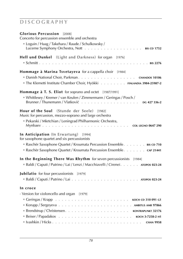| Glorious Percussion [2008]<br>Concerto for percussion ensemble and orchestra<br>" Loguin / Haag / Takehara / Raude / Schulkowsky /<br>. BIS CD 1752<br>Lucerne Symphony Orchestra, Nott                                              |
|--------------------------------------------------------------------------------------------------------------------------------------------------------------------------------------------------------------------------------------|
| Hell und Dunkel (Light and Darkness) for organ [1976]<br>$\blacksquare$ Schmitt<br><b>EXECUTE:</b> BIS 2276                                                                                                                          |
| Hommage à Marina Tsvetayeva for a cappella choir [1984]<br>Danish National Choir, Parkman. CHANDOS 10106<br>The Klemetti Institute Chamber Choir, Hyökki FINLANDIA 3984-25987-2                                                      |
| Hommage à T. S. Eliot for soprano and octet [1987/1991]<br>■ Whittlesey / Kremer / van Keulen / Zimmermann / Geringas / Posch /<br>DG 427 336-2                                                                                      |
| <b>Hour of the Soul</b> (Stunde der Seele)<br>[1982]<br>Music for percussion, mezzo-soprano and large orchestra<br>Pekarski / Mkrtchian / Leningrad Philharmonic Orchestra,<br>. COL LEGNO 0647 290<br>Mynbaev                       |
| In Anticipation (In Erwartung) [1994]<br>for saxophone quartet and six percussionists<br>Raschèr Saxophone Quartet / Kroumata Percussion Ensemble. BIS CD 710<br>Raschèr Saxophone Quartet / Kroumata Percussion Ensemble. cap 21441 |
| In the Beginning There Was Rhythm for seven percussionists [1984]<br>Baldi / Caputi / Putrino / Lai / Lenzi / Macchiavelli / Cirenei. ATOPOS 023-24                                                                                  |
| Jubilatio for four percussionists [1979]                                                                                                                                                                                             |
| In croce<br>· Version for violoncello and organ [1979]                                                                                                                                                                               |
|                                                                                                                                                                                                                                      |
|                                                                                                                                                                                                                                      |
|                                                                                                                                                                                                                                      |
|                                                                                                                                                                                                                                      |
|                                                                                                                                                                                                                                      |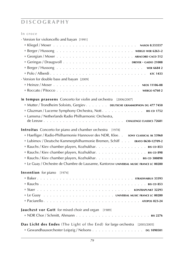### **In croce**

| · Version for violoncello and bayan [1991]                                           |
|--------------------------------------------------------------------------------------|
|                                                                                      |
|                                                                                      |
|                                                                                      |
|                                                                                      |
|                                                                                      |
|                                                                                      |
| · Version for double bass and bayan [2009]                                           |
|                                                                                      |
|                                                                                      |
| In tempus praesens Concerto for violin and orchestra [2006/2007]                     |
| Mutter / Trondheim Soloists, Gergiev. DEUTSCHE GRAMMOPHON DG 477 7450                |
| Gluzman / Lucerne Symphony Orchestra, Nott. BIS CD 1752                              |
| Lamsma / Netherlands Radio Philharmonic Orchestra,                                   |
|                                                                                      |
| <b>Introitus</b> Concerto for piano and chamber orchestra [1978]                     |
| Haefliger / Radio-Philharmonie Hannover des NDR, Klee. . son cLASSICAL SK 53960      |
| Lubimov / Deutsche Kammerphilharmonie Bremen, Schiff ERATO 0630-12709-2              |
| Rauchs / Kiev chamber players, Kozhukhar. BIS CD 853                                 |
| Rauchs / Kiev chamber players, Kozhukhar. BIS CD 898                                 |
| Rauchs / Kiev chamber players, Kozhukhar. BIS CD 300898                              |
| Le Guay / Orchestre de Chambre de Lausanne, Kantorow UNIVERSAL MUSIC FRANCE LC 00280 |
| Invention for piano [1974]                                                           |
|                                                                                      |
|                                                                                      |
|                                                                                      |
|                                                                                      |
|                                                                                      |
| Jauchzst vor Gott for mixed choir and organ [1989]                                   |
|                                                                                      |
| Das Licht des Endes (The Light of the End) for large orchestra [2003/2005]           |
| Gewandhausorchester Leipzig / Nelsons DG 1090501                                     |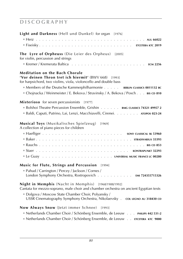| Light and Darkness (Hell und Dunkel) for organ [1976]                                                                                                                                                                                                                                                                           |
|---------------------------------------------------------------------------------------------------------------------------------------------------------------------------------------------------------------------------------------------------------------------------------------------------------------------------------|
|                                                                                                                                                                                                                                                                                                                                 |
|                                                                                                                                                                                                                                                                                                                                 |
| The Lyre of Orpheuss (Die Leier des Orpheus) [2005]<br>for violin, percussion and strings                                                                                                                                                                                                                                       |
| <b>Meditation on the Bach Chorale</b><br>'Vor deinen Thron tret ich hiermit' (BWV 668) [1993]<br>for harpsichord, two violins, viola, violoncello and double bass<br>Members of the Deutsche Kammerphilharmonie BERLIN CLASSICS 0011132 BC<br>■ Chojnacka / Weinmeister / E. Bekova / Stravinsky / A. Bekova / Posch BIS CD 810 |
| Misterioso for seven percussionists [1977]                                                                                                                                                                                                                                                                                      |
| Bolshoi Theatre Percussion Ensemble, Grishin BMG CLASSICS 74321 49957 2                                                                                                                                                                                                                                                         |
| Baldi, Caputi, Putrino, Lai, Lenzi, Macchiavelli, Cirenei. ATOPOS 023-24                                                                                                                                                                                                                                                        |
| <b>Musical Toys</b> (Musikalisches Spielzeug)<br>[1969]<br>A collection of piano pieces for children                                                                                                                                                                                                                            |
|                                                                                                                                                                                                                                                                                                                                 |
|                                                                                                                                                                                                                                                                                                                                 |
|                                                                                                                                                                                                                                                                                                                                 |
|                                                                                                                                                                                                                                                                                                                                 |
|                                                                                                                                                                                                                                                                                                                                 |
| Music for Flute, Strings and Percussion [1994]                                                                                                                                                                                                                                                                                  |
| ■ Pahud / Carrington / Percey / Jackson / Cornes /<br>London Symphony Orchestra, Rostropovich EMI 724355715326                                                                                                                                                                                                                  |
| Night in Memphis (Nacht in Memphis) [1968/1988/1992]<br>Cantata for mezzo-soprano, male choir and chamber orchestra on ancient Egyptian texts                                                                                                                                                                                   |
| Dolgova / Moscow State Chamber Choir, Polyansky /<br>USSR Cinematography Symphony Orchestra, Nikolaevsky . col LEGNO AU 318430 CD                                                                                                                                                                                               |
| Now Always Snow (Jetzt immer Schnee)<br>[1993]                                                                                                                                                                                                                                                                                  |
| Netherlands Chamber Choir / Schönberg Ensemble, de Leeuw PHILIPS 442 531-2                                                                                                                                                                                                                                                      |
| Netherlands Chamber Choir / Schönberg Ensemble, de Leeuw ETCETERA KTC 9000                                                                                                                                                                                                                                                      |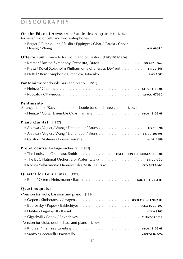| On the Edge of Abyss (Am Rande des Abgrunds) [2002]<br>for seven violoncelli and two waterphones<br>Berger / Gubaidulina / Suslin / Eppinger / Ohar / Garcia / Choi /<br>$Hwang / Zhang \dots \dots \dots \dots \dots \dots \dots \dots \dots \dots \dots \dots$<br><b>WER 66842</b> |
|--------------------------------------------------------------------------------------------------------------------------------------------------------------------------------------------------------------------------------------------------------------------------------------|
| <b>Offertorium</b> Concerto for violin and orchestra [1980/1982/1986]<br>Kremer / Boston Symphony Orchestra, Dutoit DG 427 336-2<br>Krysa / Royal Stockholm Philharmonic Orchestra, DePreist BIS CD 566<br>Neftel / Bern Symphonic Orchestra, Kitaenko. BMG 1002                     |
| Pantomime for double bass and piano [1966]                                                                                                                                                                                                                                           |
| Pentimento<br>Arrangement of 'Ravvedimento' for double bass and three guitars [2007]<br>Eleinze / Guitar Ensemble Quasi Fantasia NEOS 11106-08                                                                                                                                       |
| Piano Quintet [1957]<br>Aizawa / Vogler / Wang / Eichenauer / Bruns BIS CD 898<br>Aizawa / Vogler / Wang / Eichenauer / Bruns BIS CD 300898                                                                                                                                          |
| Pro et contra for large orchestra [1989]<br>The Louisville Orchestra, Smith FIRST EDITION RECORDINGS LCD 006<br>The BBC National Orchestra of Wales, Otaka BIS CD 668<br>Radio-Philharmonie Hannover des NDR, Kalitzke cro 999 164-2                                                 |
| Quartet for Four Flutes [1977]<br>Ritter / Osten / Heinzmann / Barner KOCH 3-1170-2 H1                                                                                                                                                                                               |
| Quasi hoquetus<br>· Version for viola, bassoon and piano [1984]<br>Oepen / Shoberansky / Hagen KOCH CD 3-1170-2 H1<br>Bobrovsky / Popov / Bakhchiyev 01YMPIA CD 297<br>· Version for viola, double bass and piano [2009]                                                             |
|                                                                                                                                                                                                                                                                                      |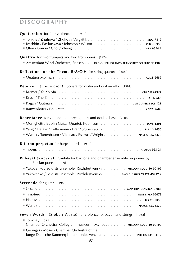| <b>Quaternion</b> for four violoncelli [1996]                                                                                                                                                                                                                       |
|---------------------------------------------------------------------------------------------------------------------------------------------------------------------------------------------------------------------------------------------------------------------|
| Ivashkin / Pavlutskaya / Johnston / Wilson $\ldots \ldots \ldots \ldots \ldots$<br><b>CHAN 9958</b><br>Ohar/Garcia/Choi/Zhang<br><b>WER 66842</b>                                                                                                                   |
| <b>Quattro</b> for two trumpets and two trombones [1974]<br>Amsterdam Wind Orchestra, Friesen RADIO NETHERLANDS TRANSCRIPTION SERVICE 1989                                                                                                                          |
| Reflections on the Theme B·A·C·H for string quartet [2002]                                                                                                                                                                                                          |
| (Freue dich!) Sonata for violin and violoncello [1981]<br>Rejoice!                                                                                                                                                                                                  |
|                                                                                                                                                                                                                                                                     |
|                                                                                                                                                                                                                                                                     |
|                                                                                                                                                                                                                                                                     |
|                                                                                                                                                                                                                                                                     |
| <b>Repentance</b> for violoncello, three guitars and double bass [2008]<br>Monighetti / Bublin Guitar Quartet, Robinson LCMS 1201<br>Yang / Halász / Kellermann / Brar / Stubenrauch BIS CD 2056<br>Wyrick / Tanenbaum / Viloteau / Psarras / Wright NAXOS 8.573379 |
| <b>Ritorno perpetuo</b> for harpsichord [1997]                                                                                                                                                                                                                      |
| Rubayat (Rubaijat) Cantata for baritone and chamber ensemble on poems by<br>ancient Persian poets [1969]                                                                                                                                                            |
| Vakovenko / Soloists Ensemble, Rozhdestvensky MELODIA SUCD 10-00109                                                                                                                                                                                                 |
| Vakovenko / Soloists Ensemble, Rozhdestvensky BMG CLASSICS 74321 49957 2                                                                                                                                                                                            |
| <b>Serenade</b> for guitar [1960]                                                                                                                                                                                                                                   |
|                                                                                                                                                                                                                                                                     |
|                                                                                                                                                                                                                                                                     |
| <b>BIS CD 2056</b>                                                                                                                                                                                                                                                  |
|                                                                                                                                                                                                                                                                     |
| Seven Words (Sieben Worte) for violoncello, bayan and strings [1982]<br>■ Tonkha / Lips /                                                                                                                                                                           |
| Chamber Orchestra 'Collegium musicum', Mynbaev MELODIA SUCD 10-00109                                                                                                                                                                                                |
| Geringas / Moser / Chamber Orchestra of the<br>Junge Deutsche Kammerphilharmonie, Venzago PHILIPS 434 041-2                                                                                                                                                         |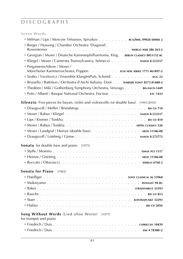### **Seven Words**

| Milman / Lips / Moscow Virtuosos, Spivakov RCA/BMG 09026 60466 2                            |
|---------------------------------------------------------------------------------------------|
| Berger / Hussong / Chamber Orchestra 'Diagonal',                                            |
|                                                                                             |
| Georgian / Moser / Deutsche Kammerphilharmonie, Klug. BERLIN CLASSICS 0011132 BC            |
| Kliegel / Moser / Camerata Transsylvanica, Selmeczi NAXOS 8.553557                          |
| Pergamenschikow / Moser /<br>Münchener Kammerorchester, Poppen ECM NEW SERIES 1775 461897-2 |
| Szabo / Vscelovicz / Ensemble KlangImPuls, Schmid 80G 23                                    |
| Brunello / Battiston / Orchestra d'Archi Italiana, Doni. WARNER FONIT 8573 81480-2          |
| Thedéen / Miki / Gothenburg Symphony Orchestra, Venzago BIS-SACD-1449                       |
| Polo / Alberti / Basque National Orchestra, Encinar. 1433                                   |
|                                                                                             |
| Silenzio Five pieces for bayan, violin and violoncello (or double bass) [1991/2010]         |
|                                                                                             |
|                                                                                             |
|                                                                                             |
|                                                                                             |
| Moser / Landgraf / Heinze (double bass) NEOS 11106-08                                       |
|                                                                                             |
| Sonata for double bass and piano [1975]                                                     |
|                                                                                             |
|                                                                                             |
|                                                                                             |
|                                                                                             |
| Sonata for Piano [1965]                                                                     |
|                                                                                             |
|                                                                                             |
|                                                                                             |
|                                                                                             |
|                                                                                             |
|                                                                                             |
| Song Without Words (Lied ohne Worte) [1977]<br>for trumpet and piano                        |
|                                                                                             |
|                                                                                             |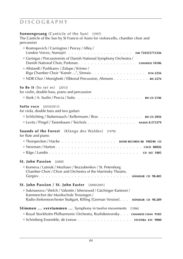### **Sonnengesang** (Canticle of the Sun) [1997]

The Canticle of the Sun by St Francis of Assisi for violoncello, chamber choir and percussion

| Rostropovich / Carrington / Percey / Alley /                                                                                |
|-----------------------------------------------------------------------------------------------------------------------------|
| Geringas / Percussionists of Danish National Symphony Orchestra /                                                           |
| CHANDOS 10106                                                                                                               |
| Altstaedt / Pushkarev / Zalupe / Krimer /                                                                                   |
| Riga Chamber Choir "Kamēr ", Sirmais. ECM 2256                                                                              |
| NDR Chor / Monighetti / Elbtonal Percussion, Ahmann. BIS 2276                                                               |
| So Be It (So sei es) [2013]                                                                                                 |
| for violin, double bass, piano and percussion                                                                               |
| <b>BIS CD 2146</b>                                                                                                          |
| <b>Sotto voce</b> [2010/2013]                                                                                               |
| for viola, double bass and two guitars                                                                                      |
| Schlichting / Stubenrauch / Kellermann / Brar. BIS CD 2056                                                                  |
| Levitz / Pingel / Tanenbaum / Teicholz NAXOS 8.573379                                                                       |
| (Klänge des Waldes)<br><b>Sounds of the Forest</b><br>[1978]                                                                |
| for flute and piano                                                                                                         |
| Thorspecken / Hacke BAYER RECORDS BR 100246 CD                                                                              |
|                                                                                                                             |
|                                                                                                                             |
| <b>St. John Passion</b><br>$[2000]$                                                                                         |
| Korneva / Lutsiuk / Mozhaev / Bezzubenkov / St. Petersburg<br>Chamber Choir / Choir and Orchestra of the Mariinsky Theatre, |
|                                                                                                                             |
| St. John Passion / St. John Easter [2000/2001]                                                                              |
| Sukmanova / Welch / Valentin / Isherwood / Gächinger Kantorei /<br>Kammerchor der Musikschule Trossingen /                  |
| Radio-Sinfonieorchester Stuttgart, Rilling [German Version] HÄNSSLER CD 98.289                                              |
| Stimmen  verstummen  Symphony in twelve movements [1986]                                                                    |
| Royal Stockholm Philharmonic Orchestra, Rozhdestvensky CHANDOS CHAN 9183                                                    |
|                                                                                                                             |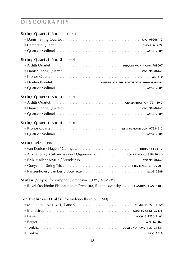| 85                                                                                                                                 |
|------------------------------------------------------------------------------------------------------------------------------------|
|                                                                                                                                    |
|                                                                                                                                    |
|                                                                                                                                    |
|                                                                                                                                    |
|                                                                                                                                    |
|                                                                                                                                    |
| <b>Ten Preludes (Etudes)</b> for violoncello solo [1974]                                                                           |
| Stufen (Steps) for symphony orchestra [1972/1986/1992]<br>Royal Stockholm Philharmonic Orchestra, Rozhdestvensky CHANDOS CHAN 9183 |
|                                                                                                                                    |
|                                                                                                                                    |
|                                                                                                                                    |
| Alikhanova / Koshanovskaya / Organovich col LEGNO AU 318420 CD                                                                     |
|                                                                                                                                    |
| String Trio [1988]                                                                                                                 |
| ■ Quatuor Molinari 。。。。。。。。。。。。。。。。。。。。。。。。。。。。。 ACD2 2689                                                                         |
| String Quartet No. 4 [1993]                                                                                                        |
|                                                                                                                                    |
|                                                                                                                                    |
|                                                                                                                                    |
| String Quartet No. 3 [1987]                                                                                                        |
|                                                                                                                                    |
| Doelen Kwartet FRIENDS OF THE ROTTERDAM PHILHARMONIC                                                                               |
|                                                                                                                                    |
|                                                                                                                                    |
|                                                                                                                                    |
| String Quartet No. 2 [1987]                                                                                                        |
|                                                                                                                                    |
|                                                                                                                                    |
|                                                                                                                                    |
| String Quartet No. 1 [1971]                                                                                                        |